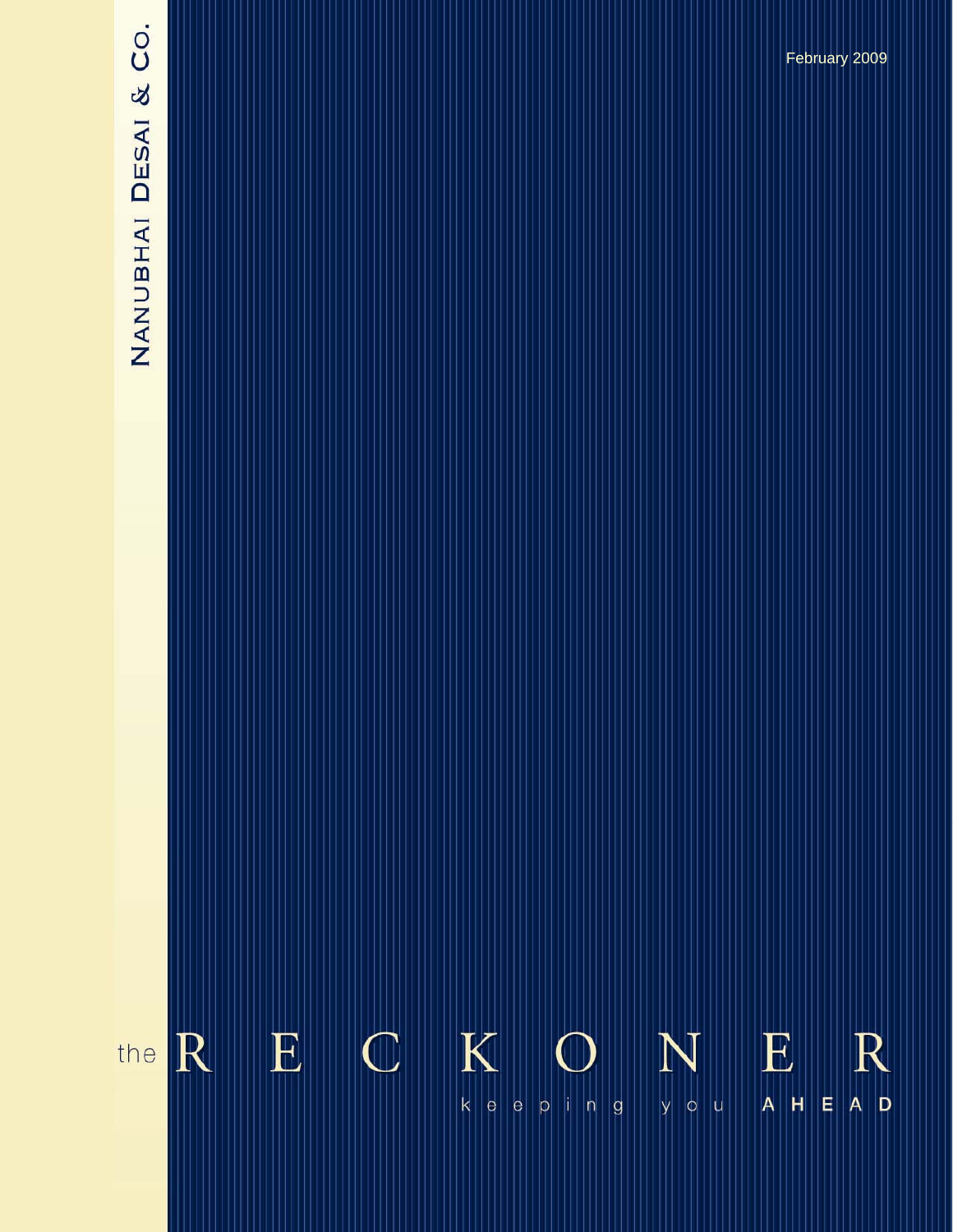# NANUBHAI DESAI & CO.

 $K$  $\mathbf E$  $\mathbb{C}$ E  $\mathbb{R}$ R N the  $\mathsf{k} \parallel \mathsf{e} \parallel$  $|\mathsf{e}|$  $A$  D  $y \mid o \mid u$  $A$   $H$  $\vert$ e  $p \mid n \mid g$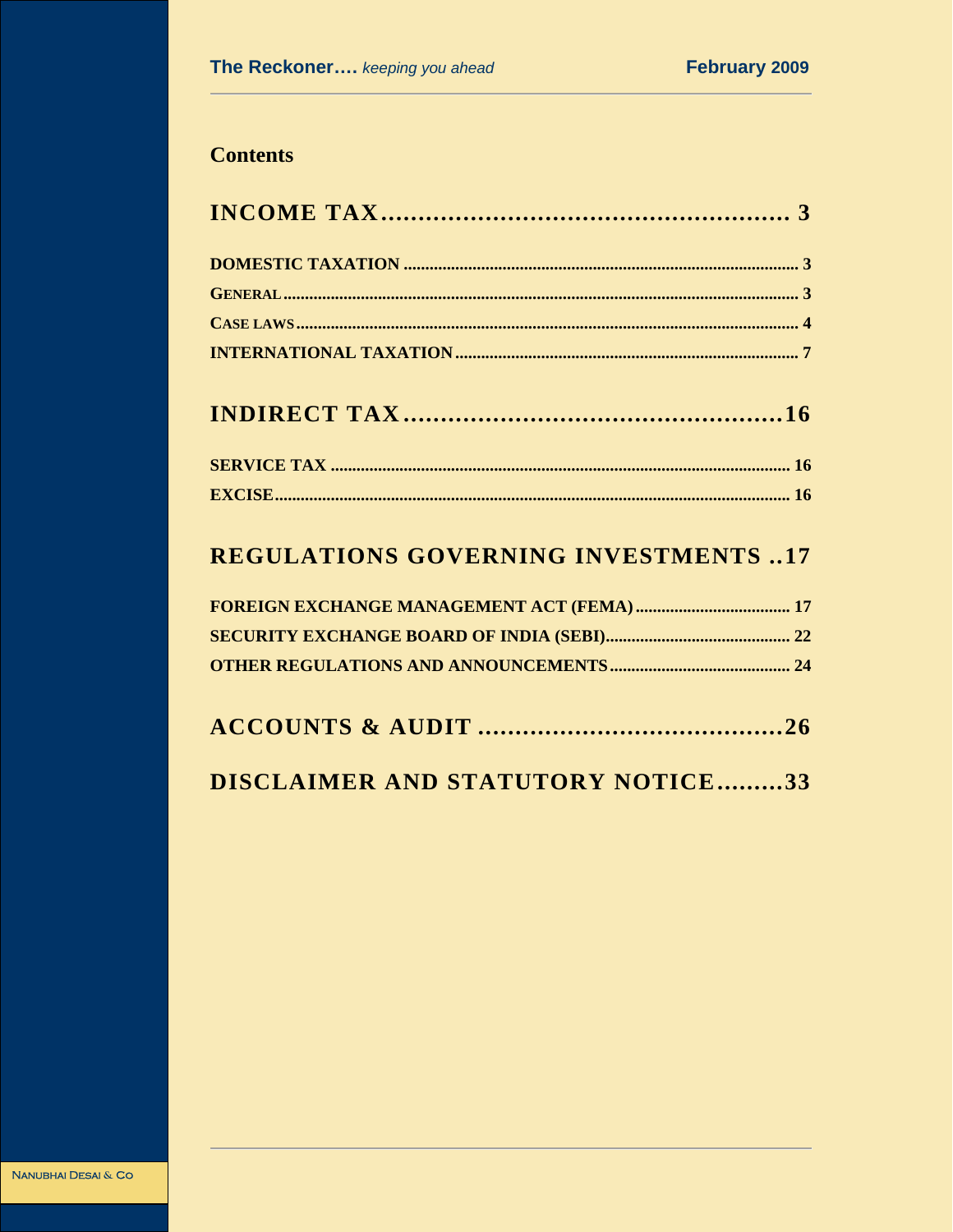# **Contents**

|--|--|--|

# **REGULATIONS GOVERNING INVESTMENTS ..17**

# DISCLAIMER AND STATUTORY NOTICE.........33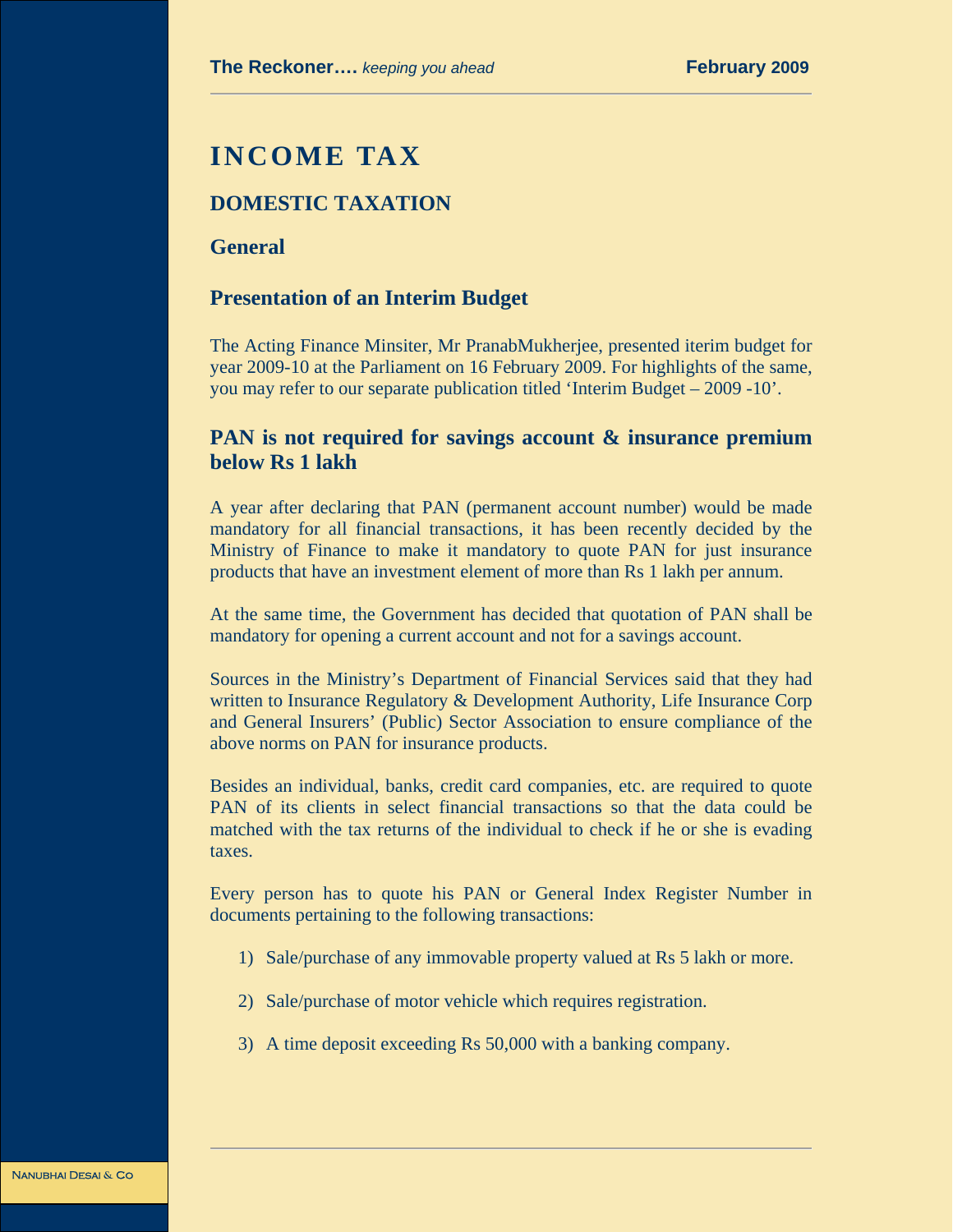# **INCOME TAX**

## **DOMESTIC TAXATION**

#### **General**

#### **Presentation of an Interim Budget**

The Acting Finance Minsiter, Mr PranabMukherjee, presented iterim budget for year 2009-10 at the Parliament on 16 February 2009. For highlights of the same, you may refer to our separate publication titled 'Interim Budget – 2009 -10'.

# **PAN is not required for savings account & insurance premium below Rs 1 lakh**

A year after declaring that PAN (permanent account number) would be made mandatory for all financial transactions, it has been recently decided by the Ministry of Finance to make it mandatory to quote PAN for just insurance products that have an investment element of more than Rs 1 lakh per annum.

At the same time, the Government has decided that quotation of PAN shall be mandatory for opening a current account and not for a savings account.

Sources in the Ministry's Department of Financial Services said that they had written to Insurance Regulatory & Development Authority, Life Insurance Corp and General Insurers' (Public) Sector Association to ensure compliance of the above norms on PAN for insurance products.

Besides an individual, banks, credit card companies, etc. are required to quote PAN of its clients in select financial transactions so that the data could be matched with the tax returns of the individual to check if he or she is evading taxes.

Every person has to quote his PAN or General Index Register Number in documents pertaining to the following transactions:

- 1) Sale/purchase of any immovable property valued at Rs 5 lakh or more.
- 2) Sale/purchase of motor vehicle which requires registration.
- 3) A time deposit exceeding Rs 50,000 with a banking company.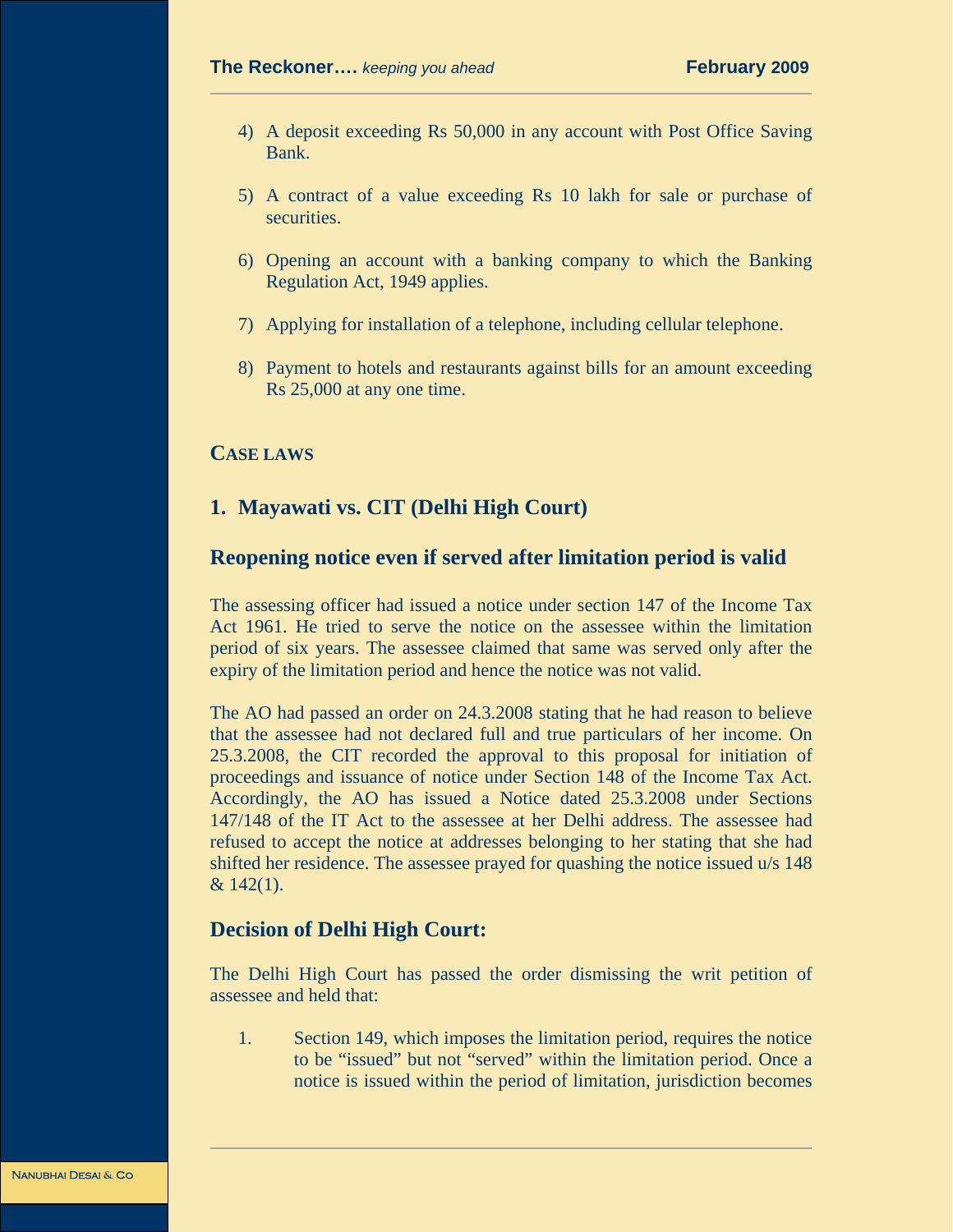- 4) A deposit exceeding Rs 50,000 in any account with Post Office Saving Bank.
- 5) A contract of a value exceeding Rs 10 lakh for sale or purchase of securities.
- 6) Opening an account with a banking company to which the Banking Regulation Act, 1949 applies.
- 7) Applying for installation of a telephone, including cellular telephone.
- 8) Payment to hotels and restaurants against bills for an amount exceeding Rs 25,000 at any one time.

#### **CASE LAWS**

# **1. Mayawati vs. CIT (Delhi High Court)**

### **Reopening notice even if served after limitation period is valid**

The assessing officer had issued a notice under section 147 of the Income Tax Act 1961. He tried to serve the notice on the assessee within the limitation period of six years. The assessee claimed that same was served only after the expiry of the limitation period and hence the notice was not valid.

The AO had passed an order on 24.3.2008 stating that he had reason to believe that the assessee had not declared full and true particulars of her income. On 25.3.2008, the CIT recorded the approval to this proposal for initiation of proceedings and issuance of notice under Section 148 of the Income Tax Act. Accordingly, the AO has issued a Notice dated 25.3.2008 under Sections 147/148 of the IT Act to the assessee at her Delhi address. The assessee had refused to accept the notice at addresses belonging to her stating that she had shifted her residence. The assessee prayed for quashing the notice issued u/s 148  $& 142(1).$ 

#### **Decision of Delhi High Court:**

The Delhi High Court has passed the order dismissing the writ petition of assessee and held that:

1. Section 149, which imposes the limitation period, requires the notice to be "issued" but not "served" within the limitation period. Once a notice is issued within the period of limitation, jurisdiction becomes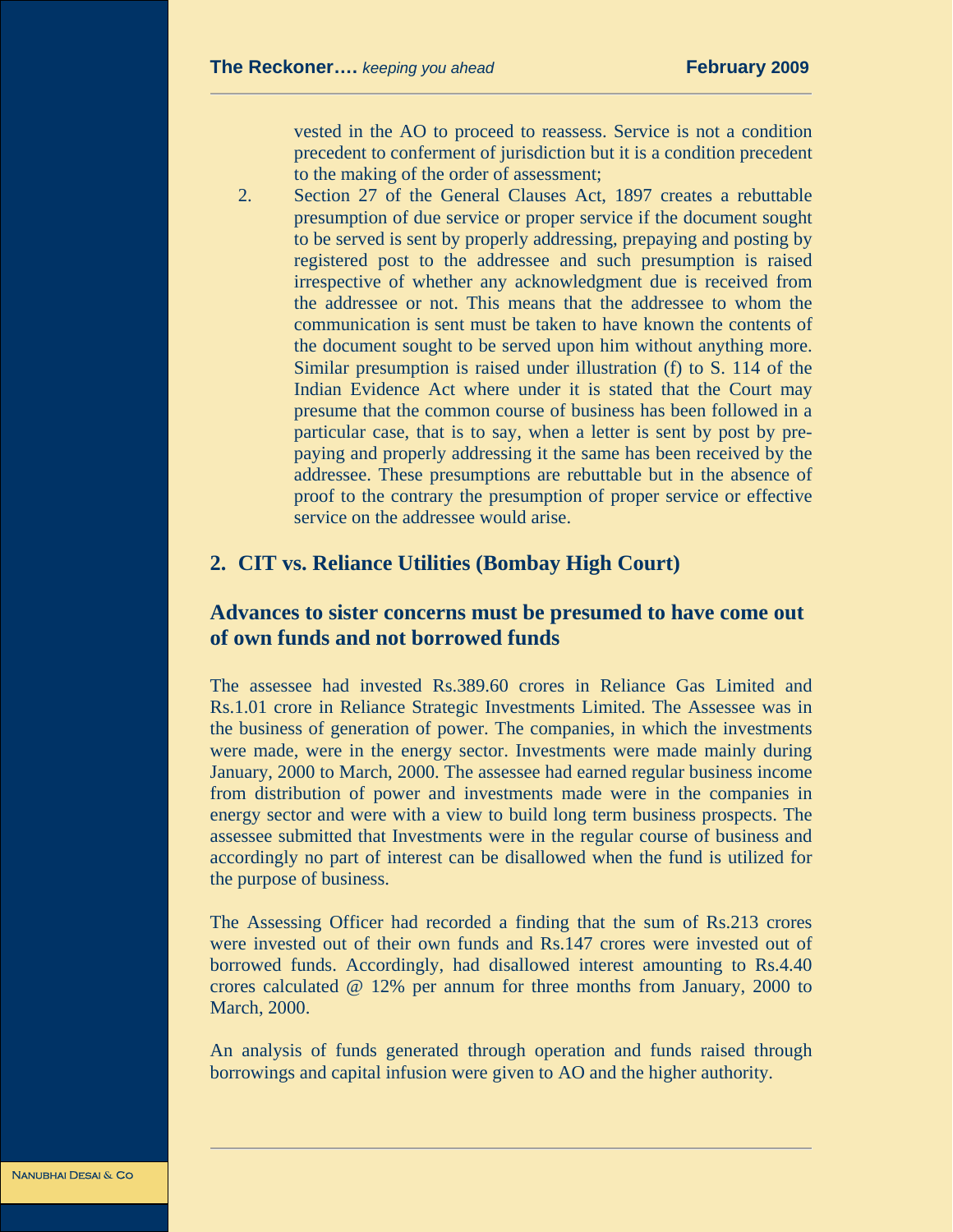vested in the AO to proceed to reassess. Service is not a condition precedent to conferment of jurisdiction but it is a condition precedent to the making of the order of assessment;

2. Section 27 of the General Clauses Act, 1897 creates a rebuttable presumption of due service or proper service if the document sought to be served is sent by properly addressing, prepaying and posting by registered post to the addressee and such presumption is raised irrespective of whether any acknowledgment due is received from the addressee or not. This means that the addressee to whom the communication is sent must be taken to have known the contents of the document sought to be served upon him without anything more. Similar presumption is raised under illustration (f) to S. 114 of the Indian Evidence Act where under it is stated that the Court may presume that the common course of business has been followed in a particular case, that is to say, when a letter is sent by post by prepaying and properly addressing it the same has been received by the addressee. These presumptions are rebuttable but in the absence of proof to the contrary the presumption of proper service or effective service on the addressee would arise.

#### **2. CIT vs. Reliance Utilities (Bombay High Court)**

### **Advances to sister concerns must be presumed to have come out of own funds and not borrowed funds**

The assessee had invested Rs.389.60 crores in Reliance Gas Limited and Rs.1.01 crore in Reliance Strategic Investments Limited. The Assessee was in the business of generation of power. The companies, in which the investments were made, were in the energy sector. Investments were made mainly during January, 2000 to March, 2000. The assessee had earned regular business income from distribution of power and investments made were in the companies in energy sector and were with a view to build long term business prospects. The assessee submitted that Investments were in the regular course of business and accordingly no part of interest can be disallowed when the fund is utilized for the purpose of business.

The Assessing Officer had recorded a finding that the sum of Rs.213 crores were invested out of their own funds and Rs.147 crores were invested out of borrowed funds. Accordingly, had disallowed interest amounting to Rs.4.40 crores calculated @ 12% per annum for three months from January, 2000 to March, 2000.

An analysis of funds generated through operation and funds raised through borrowings and capital infusion were given to AO and the higher authority.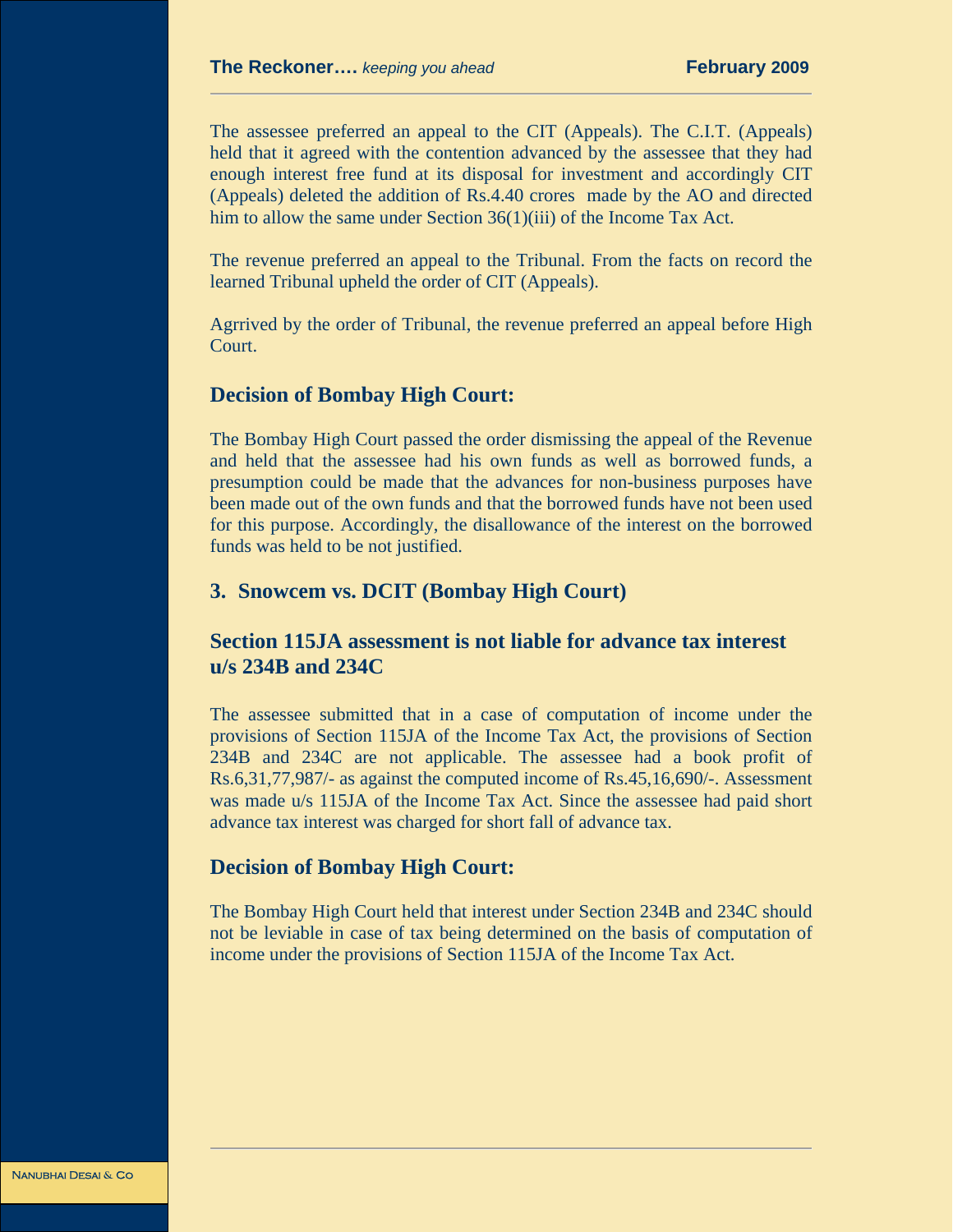The assessee preferred an appeal to the CIT (Appeals). The C.I.T. (Appeals) held that it agreed with the contention advanced by the assessee that they had enough interest free fund at its disposal for investment and accordingly CIT (Appeals) deleted the addition of Rs.4.40 crores made by the AO and directed him to allow the same under Section 36(1)(iii) of the Income Tax Act.

The revenue preferred an appeal to the Tribunal. From the facts on record the learned Tribunal upheld the order of CIT (Appeals).

Agrrived by the order of Tribunal, the revenue preferred an appeal before High Court.

#### **Decision of Bombay High Court:**

The Bombay High Court passed the order dismissing the appeal of the Revenue and held that the assessee had his own funds as well as borrowed funds, a presumption could be made that the advances for non-business purposes have been made out of the own funds and that the borrowed funds have not been used for this purpose. Accordingly, the disallowance of the interest on the borrowed funds was held to be not justified.

# **3. Snowcem vs. DCIT (Bombay High Court)**

# **Section 115JA assessment is not liable for advance tax interest u/s 234B and 234C**

The assessee submitted that in a case of computation of income under the provisions of Section 115JA of the Income Tax Act, the provisions of Section 234B and 234C are not applicable. The assessee had a book profit of Rs.6,31,77,987/- as against the computed income of Rs.45,16,690/-. Assessment was made u/s 115JA of the Income Tax Act. Since the assessee had paid short advance tax interest was charged for short fall of advance tax.

#### **Decision of Bombay High Court:**

The Bombay High Court held that interest under Section 234B and 234C should not be leviable in case of tax being determined on the basis of computation of income under the provisions of Section 115JA of the Income Tax Act.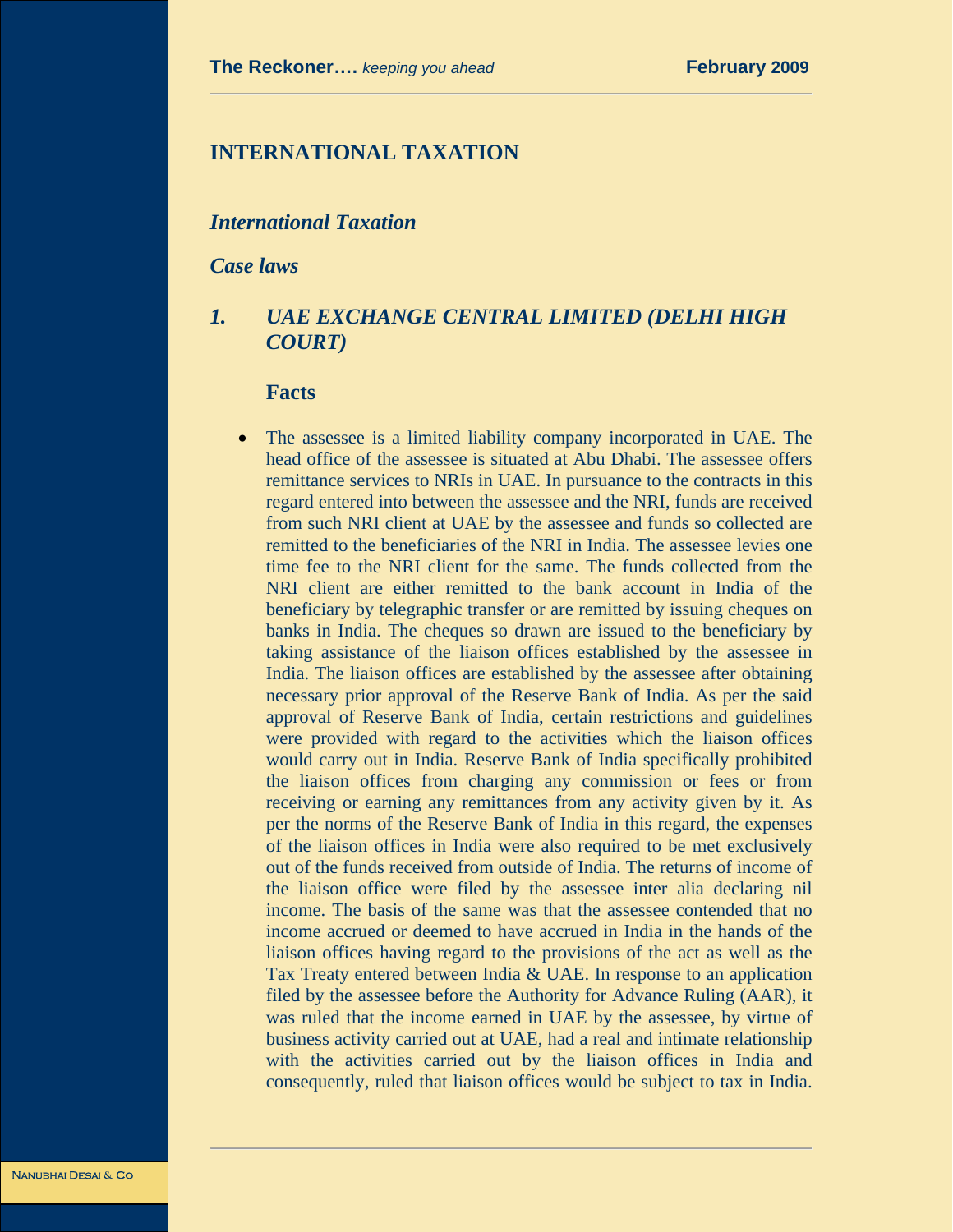# **INTERNATIONAL TAXATION**

#### *International Taxation*

*Case laws* 

## *1. UAE EXCHANGE CENTRAL LIMITED (DELHI HIGH COURT)*

#### **Facts**

The assessee is a limited liability company incorporated in UAE. The head office of the assessee is situated at Abu Dhabi. The assessee offers remittance services to NRIs in UAE. In pursuance to the contracts in this regard entered into between the assessee and the NRI, funds are received from such NRI client at UAE by the assessee and funds so collected are remitted to the beneficiaries of the NRI in India. The assessee levies one time fee to the NRI client for the same. The funds collected from the NRI client are either remitted to the bank account in India of the beneficiary by telegraphic transfer or are remitted by issuing cheques on banks in India. The cheques so drawn are issued to the beneficiary by taking assistance of the liaison offices established by the assessee in India. The liaison offices are established by the assessee after obtaining necessary prior approval of the Reserve Bank of India. As per the said approval of Reserve Bank of India, certain restrictions and guidelines were provided with regard to the activities which the liaison offices would carry out in India. Reserve Bank of India specifically prohibited the liaison offices from charging any commission or fees or from receiving or earning any remittances from any activity given by it. As per the norms of the Reserve Bank of India in this regard, the expenses of the liaison offices in India were also required to be met exclusively out of the funds received from outside of India. The returns of income of the liaison office were filed by the assessee inter alia declaring nil income. The basis of the same was that the assessee contended that no income accrued or deemed to have accrued in India in the hands of the liaison offices having regard to the provisions of the act as well as the Tax Treaty entered between India & UAE. In response to an application filed by the assessee before the Authority for Advance Ruling (AAR), it was ruled that the income earned in UAE by the assessee, by virtue of business activity carried out at UAE, had a real and intimate relationship with the activities carried out by the liaison offices in India and consequently, ruled that liaison offices would be subject to tax in India.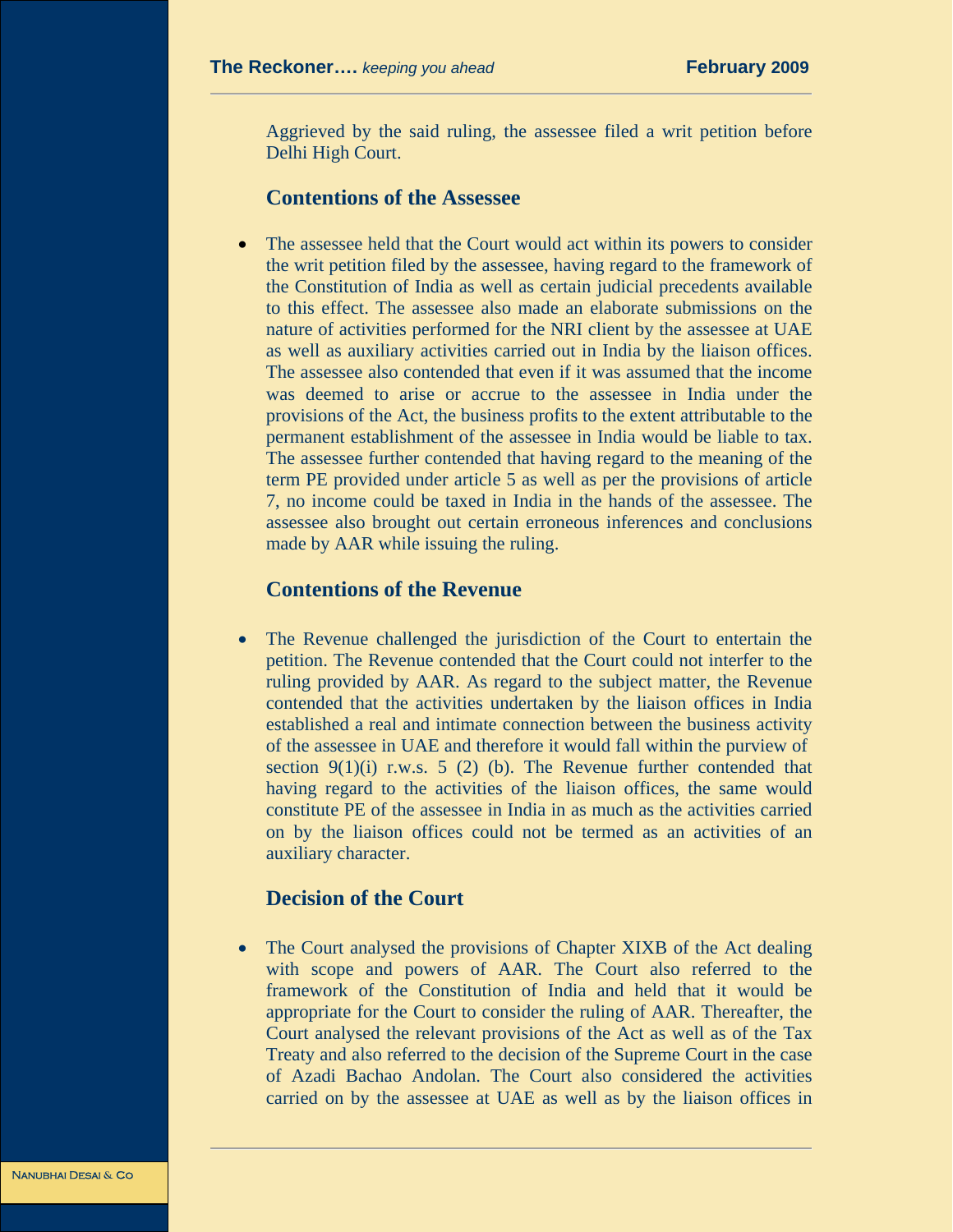Aggrieved by the said ruling, the assessee filed a writ petition before Delhi High Court.

#### **Contentions of the Assessee**

The assessee held that the Court would act within its powers to consider the writ petition filed by the assessee, having regard to the framework of the Constitution of India as well as certain judicial precedents available to this effect. The assessee also made an elaborate submissions on the nature of activities performed for the NRI client by the assessee at UAE as well as auxiliary activities carried out in India by the liaison offices. The assessee also contended that even if it was assumed that the income was deemed to arise or accrue to the assessee in India under the provisions of the Act, the business profits to the extent attributable to the permanent establishment of the assessee in India would be liable to tax. The assessee further contended that having regard to the meaning of the term PE provided under article 5 as well as per the provisions of article 7, no income could be taxed in India in the hands of the assessee. The assessee also brought out certain erroneous inferences and conclusions made by AAR while issuing the ruling.

#### **Contentions of the Revenue**

• The Revenue challenged the jurisdiction of the Court to entertain the petition. The Revenue contended that the Court could not interfer to the ruling provided by AAR. As regard to the subject matter, the Revenue contended that the activities undertaken by the liaison offices in India established a real and intimate connection between the business activity of the assessee in UAE and therefore it would fall within the purview of section  $9(1)(i)$  r.w.s. 5 (2) (b). The Revenue further contended that having regard to the activities of the liaison offices, the same would constitute PE of the assessee in India in as much as the activities carried on by the liaison offices could not be termed as an activities of an auxiliary character.

#### **Decision of the Court**

The Court analysed the provisions of Chapter XIXB of the Act dealing with scope and powers of AAR. The Court also referred to the framework of the Constitution of India and held that it would be appropriate for the Court to consider the ruling of AAR. Thereafter, the Court analysed the relevant provisions of the Act as well as of the Tax Treaty and also referred to the decision of the Supreme Court in the case of Azadi Bachao Andolan. The Court also considered the activities carried on by the assessee at UAE as well as by the liaison offices in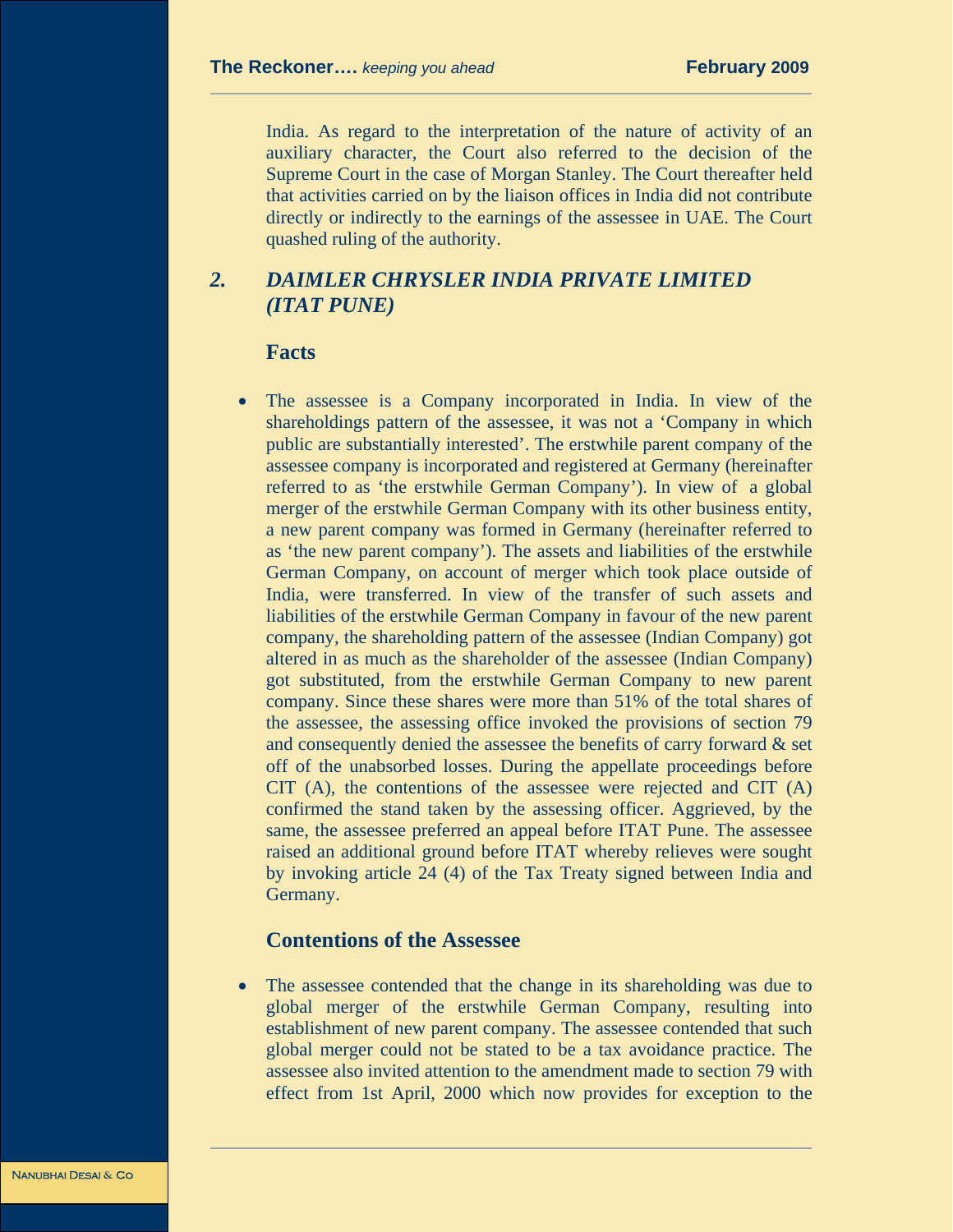India. As regard to the interpretation of the nature of activity of an auxiliary character, the Court also referred to the decision of the Supreme Court in the case of Morgan Stanley. The Court thereafter held that activities carried on by the liaison offices in India did not contribute directly or indirectly to the earnings of the assessee in UAE. The Court quashed ruling of the authority.

# *2. DAIMLER CHRYSLER INDIA PRIVATE LIMITED (ITAT PUNE)*

#### **Facts**

The assessee is a Company incorporated in India. In view of the shareholdings pattern of the assessee, it was not a 'Company in which public are substantially interested'. The erstwhile parent company of the assessee company is incorporated and registered at Germany (hereinafter referred to as 'the erstwhile German Company'). In view of a global merger of the erstwhile German Company with its other business entity, a new parent company was formed in Germany (hereinafter referred to as 'the new parent company'). The assets and liabilities of the erstwhile German Company, on account of merger which took place outside of India, were transferred. In view of the transfer of such assets and liabilities of the erstwhile German Company in favour of the new parent company, the shareholding pattern of the assessee (Indian Company) got altered in as much as the shareholder of the assessee (Indian Company) got substituted, from the erstwhile German Company to new parent company. Since these shares were more than 51% of the total shares of the assessee, the assessing office invoked the provisions of section 79 and consequently denied the assessee the benefits of carry forward & set off of the unabsorbed losses. During the appellate proceedings before CIT (A), the contentions of the assessee were rejected and CIT (A) confirmed the stand taken by the assessing officer. Aggrieved, by the same, the assessee preferred an appeal before ITAT Pune. The assessee raised an additional ground before ITAT whereby relieves were sought by invoking article 24 (4) of the Tax Treaty signed between India and Germany.

#### **Contentions of the Assessee**

The assessee contended that the change in its shareholding was due to global merger of the erstwhile German Company, resulting into establishment of new parent company. The assessee contended that such global merger could not be stated to be a tax avoidance practice. The assessee also invited attention to the amendment made to section 79 with effect from 1st April, 2000 which now provides for exception to the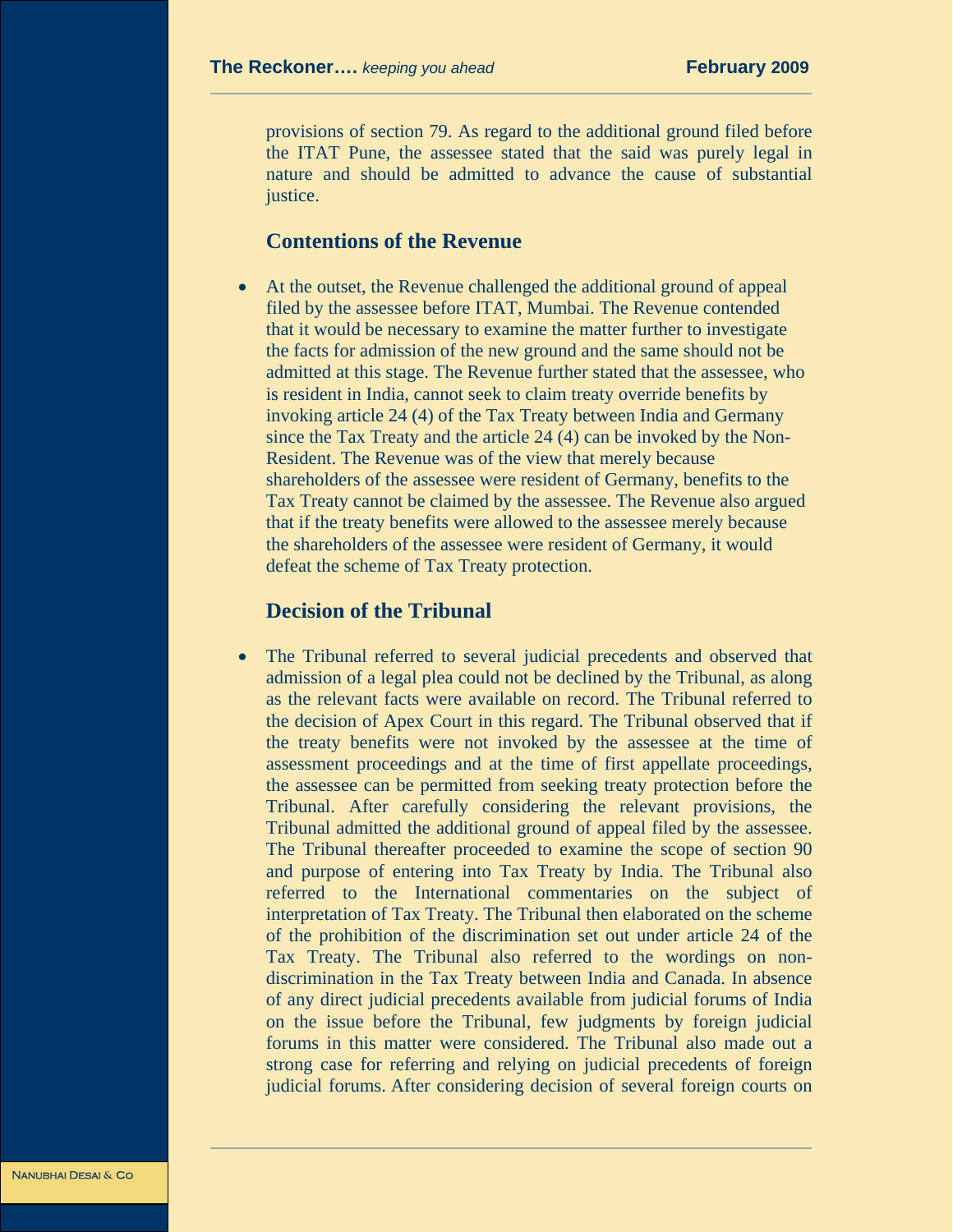provisions of section 79. As regard to the additional ground filed before the ITAT Pune, the assessee stated that the said was purely legal in nature and should be admitted to advance the cause of substantial justice.

#### **Contentions of the Revenue**

• At the outset, the Revenue challenged the additional ground of appeal filed by the assessee before ITAT, Mumbai. The Revenue contended that it would be necessary to examine the matter further to investigate the facts for admission of the new ground and the same should not be admitted at this stage. The Revenue further stated that the assessee, who is resident in India, cannot seek to claim treaty override benefits by invoking article 24 (4) of the Tax Treaty between India and Germany since the Tax Treaty and the article 24 (4) can be invoked by the Non-Resident. The Revenue was of the view that merely because shareholders of the assessee were resident of Germany, benefits to the Tax Treaty cannot be claimed by the assessee. The Revenue also argued that if the treaty benefits were allowed to the assessee merely because the shareholders of the assessee were resident of Germany, it would defeat the scheme of Tax Treaty protection.

### **Decision of the Tribunal**

• The Tribunal referred to several judicial precedents and observed that admission of a legal plea could not be declined by the Tribunal, as along as the relevant facts were available on record. The Tribunal referred to the decision of Apex Court in this regard. The Tribunal observed that if the treaty benefits were not invoked by the assessee at the time of assessment proceedings and at the time of first appellate proceedings, the assessee can be permitted from seeking treaty protection before the Tribunal. After carefully considering the relevant provisions, the Tribunal admitted the additional ground of appeal filed by the assessee. The Tribunal thereafter proceeded to examine the scope of section 90 and purpose of entering into Tax Treaty by India. The Tribunal also referred to the International commentaries on the subject of interpretation of Tax Treaty. The Tribunal then elaborated on the scheme of the prohibition of the discrimination set out under article 24 of the Tax Treaty. The Tribunal also referred to the wordings on nondiscrimination in the Tax Treaty between India and Canada. In absence of any direct judicial precedents available from judicial forums of India on the issue before the Tribunal, few judgments by foreign judicial forums in this matter were considered. The Tribunal also made out a strong case for referring and relying on judicial precedents of foreign judicial forums. After considering decision of several foreign courts on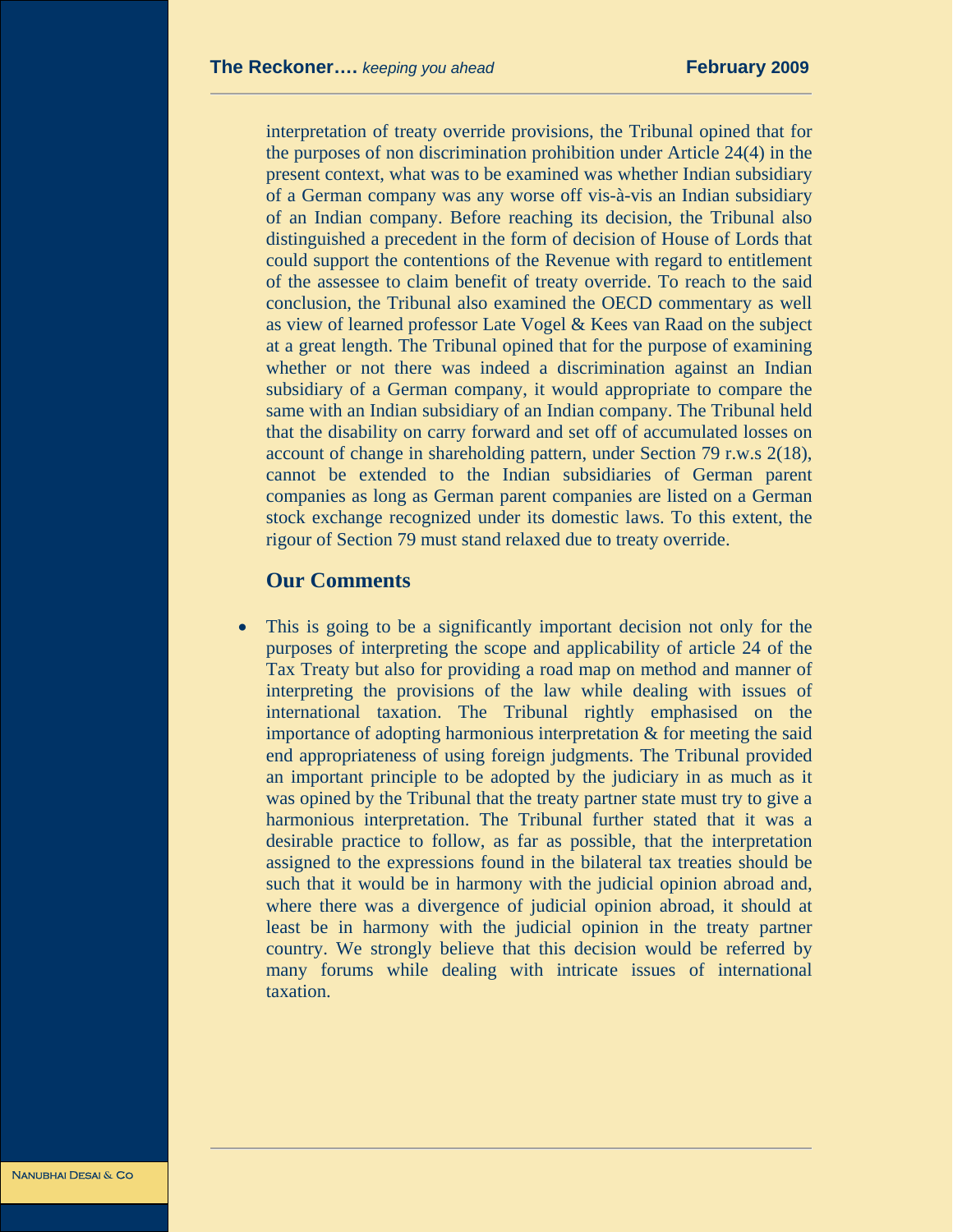interpretation of treaty override provisions, the Tribunal opined that for the purposes of non discrimination prohibition under Article 24(4) in the present context, what was to be examined was whether Indian subsidiary of a German company was any worse off vis-à-vis an Indian subsidiary of an Indian company. Before reaching its decision, the Tribunal also distinguished a precedent in the form of decision of House of Lords that could support the contentions of the Revenue with regard to entitlement of the assessee to claim benefit of treaty override. To reach to the said conclusion, the Tribunal also examined the OECD commentary as well as view of learned professor Late Vogel & Kees van Raad on the subject at a great length. The Tribunal opined that for the purpose of examining whether or not there was indeed a discrimination against an Indian subsidiary of a German company, it would appropriate to compare the same with an Indian subsidiary of an Indian company. The Tribunal held that the disability on carry forward and set off of accumulated losses on account of change in shareholding pattern, under Section 79 r.w.s 2(18), cannot be extended to the Indian subsidiaries of German parent companies as long as German parent companies are listed on a German stock exchange recognized under its domestic laws. To this extent, the rigour of Section 79 must stand relaxed due to treaty override.

#### **Our Comments**

This is going to be a significantly important decision not only for the purposes of interpreting the scope and applicability of article 24 of the Tax Treaty but also for providing a road map on method and manner of interpreting the provisions of the law while dealing with issues of international taxation. The Tribunal rightly emphasised on the importance of adopting harmonious interpretation  $\&$  for meeting the said end appropriateness of using foreign judgments. The Tribunal provided an important principle to be adopted by the judiciary in as much as it was opined by the Tribunal that the treaty partner state must try to give a harmonious interpretation. The Tribunal further stated that it was a desirable practice to follow, as far as possible, that the interpretation assigned to the expressions found in the bilateral tax treaties should be such that it would be in harmony with the judicial opinion abroad and, where there was a divergence of judicial opinion abroad, it should at least be in harmony with the judicial opinion in the treaty partner country. We strongly believe that this decision would be referred by many forums while dealing with intricate issues of international taxation.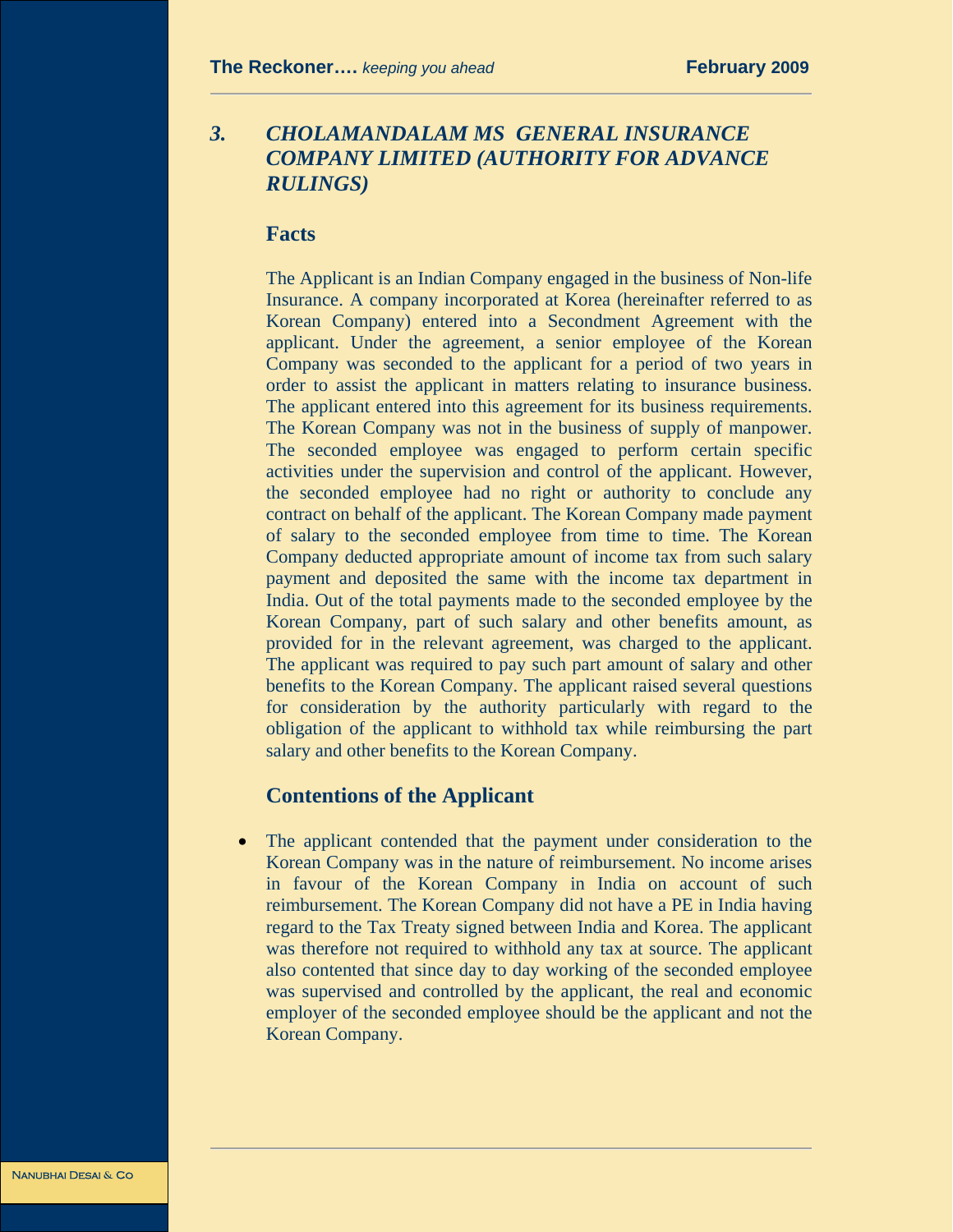# *3. CHOLAMANDALAM MS GENERAL INSURANCE COMPANY LIMITED (AUTHORITY FOR ADVANCE RULINGS)*

#### **Facts**

The Applicant is an Indian Company engaged in the business of Non-life Insurance. A company incorporated at Korea (hereinafter referred to as Korean Company) entered into a Secondment Agreement with the applicant. Under the agreement, a senior employee of the Korean Company was seconded to the applicant for a period of two years in order to assist the applicant in matters relating to insurance business. The applicant entered into this agreement for its business requirements. The Korean Company was not in the business of supply of manpower. The seconded employee was engaged to perform certain specific activities under the supervision and control of the applicant. However, the seconded employee had no right or authority to conclude any contract on behalf of the applicant. The Korean Company made payment of salary to the seconded employee from time to time. The Korean Company deducted appropriate amount of income tax from such salary payment and deposited the same with the income tax department in India. Out of the total payments made to the seconded employee by the Korean Company, part of such salary and other benefits amount, as provided for in the relevant agreement, was charged to the applicant. The applicant was required to pay such part amount of salary and other benefits to the Korean Company. The applicant raised several questions for consideration by the authority particularly with regard to the obligation of the applicant to withhold tax while reimbursing the part salary and other benefits to the Korean Company.

#### **Contentions of the Applicant**

• The applicant contended that the payment under consideration to the Korean Company was in the nature of reimbursement. No income arises in favour of the Korean Company in India on account of such reimbursement. The Korean Company did not have a PE in India having regard to the Tax Treaty signed between India and Korea. The applicant was therefore not required to withhold any tax at source. The applicant also contented that since day to day working of the seconded employee was supervised and controlled by the applicant, the real and economic employer of the seconded employee should be the applicant and not the Korean Company.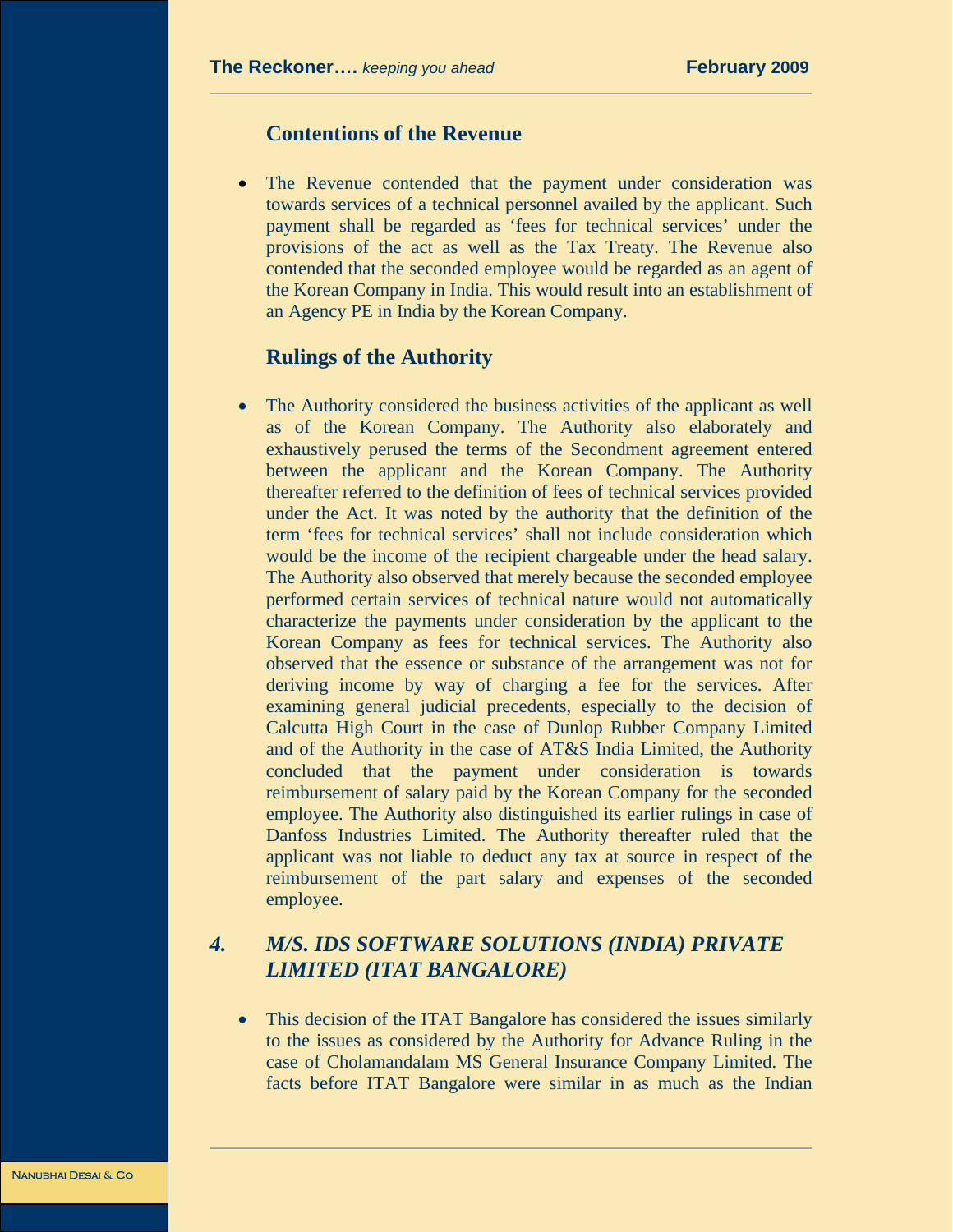#### **Contentions of the Revenue**

• The Revenue contended that the payment under consideration was towards services of a technical personnel availed by the applicant. Such payment shall be regarded as 'fees for technical services' under the provisions of the act as well as the Tax Treaty. The Revenue also contended that the seconded employee would be regarded as an agent of the Korean Company in India. This would result into an establishment of an Agency PE in India by the Korean Company.

#### **Rulings of the Authority**

The Authority considered the business activities of the applicant as well as of the Korean Company. The Authority also elaborately and exhaustively perused the terms of the Secondment agreement entered between the applicant and the Korean Company. The Authority thereafter referred to the definition of fees of technical services provided under the Act. It was noted by the authority that the definition of the term 'fees for technical services' shall not include consideration which would be the income of the recipient chargeable under the head salary. The Authority also observed that merely because the seconded employee performed certain services of technical nature would not automatically characterize the payments under consideration by the applicant to the Korean Company as fees for technical services. The Authority also observed that the essence or substance of the arrangement was not for deriving income by way of charging a fee for the services. After examining general judicial precedents, especially to the decision of Calcutta High Court in the case of Dunlop Rubber Company Limited and of the Authority in the case of AT&S India Limited, the Authority concluded that the payment under consideration is towards reimbursement of salary paid by the Korean Company for the seconded employee. The Authority also distinguished its earlier rulings in case of Danfoss Industries Limited. The Authority thereafter ruled that the applicant was not liable to deduct any tax at source in respect of the reimbursement of the part salary and expenses of the seconded employee.

# *4. M/S. IDS SOFTWARE SOLUTIONS (INDIA) PRIVATE LIMITED (ITAT BANGALORE)*

• This decision of the ITAT Bangalore has considered the issues similarly to the issues as considered by the Authority for Advance Ruling in the case of Cholamandalam MS General Insurance Company Limited. The facts before ITAT Bangalore were similar in as much as the Indian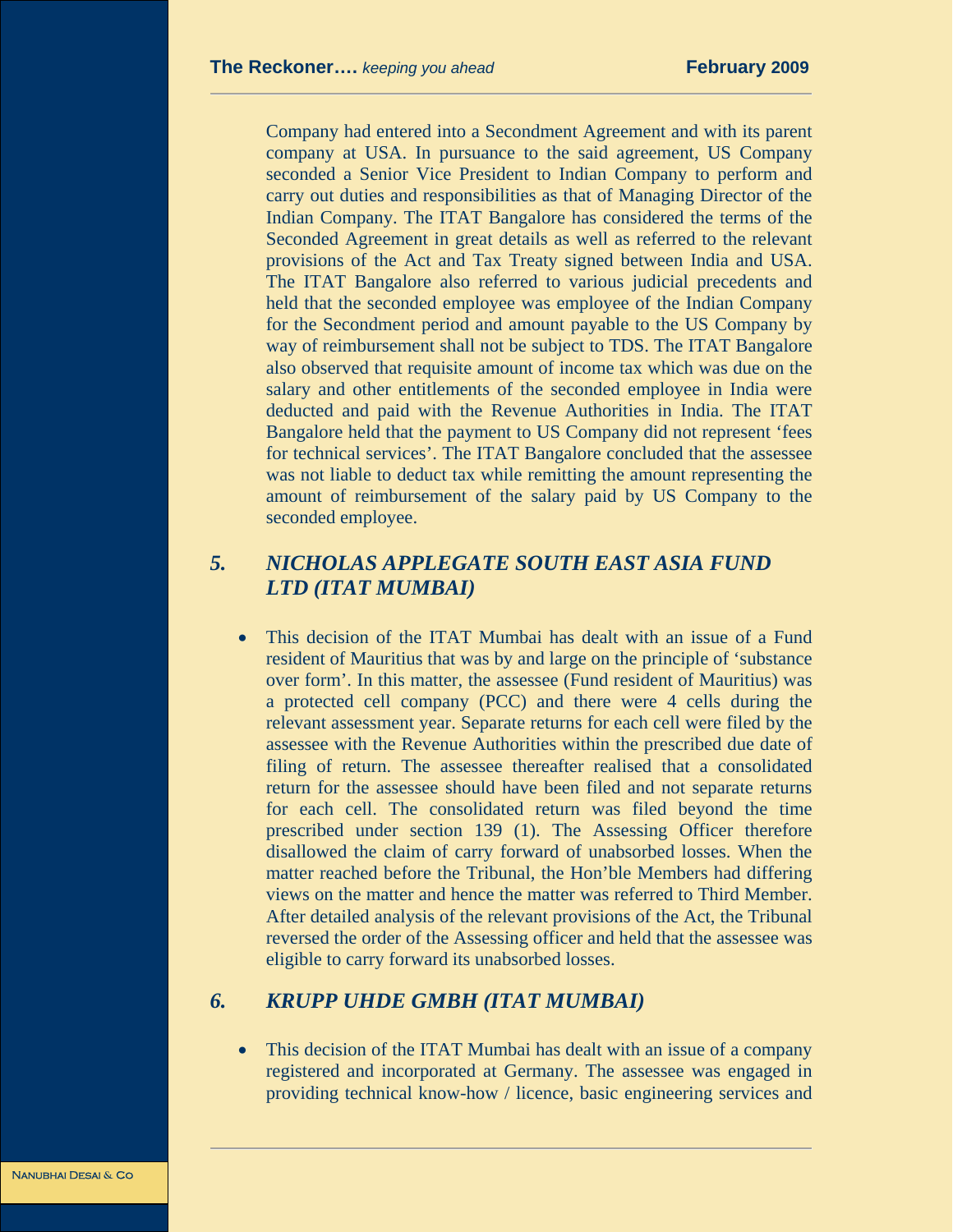Company had entered into a Secondment Agreement and with its parent company at USA. In pursuance to the said agreement, US Company seconded a Senior Vice President to Indian Company to perform and carry out duties and responsibilities as that of Managing Director of the Indian Company. The ITAT Bangalore has considered the terms of the Seconded Agreement in great details as well as referred to the relevant provisions of the Act and Tax Treaty signed between India and USA. The ITAT Bangalore also referred to various judicial precedents and held that the seconded employee was employee of the Indian Company for the Secondment period and amount payable to the US Company by way of reimbursement shall not be subject to TDS. The ITAT Bangalore also observed that requisite amount of income tax which was due on the salary and other entitlements of the seconded employee in India were deducted and paid with the Revenue Authorities in India. The ITAT Bangalore held that the payment to US Company did not represent 'fees for technical services'. The ITAT Bangalore concluded that the assessee was not liable to deduct tax while remitting the amount representing the amount of reimbursement of the salary paid by US Company to the seconded employee.

# *5. NICHOLAS APPLEGATE SOUTH EAST ASIA FUND LTD (ITAT MUMBAI)*

• This decision of the ITAT Mumbai has dealt with an issue of a Fund resident of Mauritius that was by and large on the principle of 'substance over form'. In this matter, the assessee (Fund resident of Mauritius) was a protected cell company (PCC) and there were 4 cells during the relevant assessment year. Separate returns for each cell were filed by the assessee with the Revenue Authorities within the prescribed due date of filing of return. The assessee thereafter realised that a consolidated return for the assessee should have been filed and not separate returns for each cell. The consolidated return was filed beyond the time prescribed under section 139 (1). The Assessing Officer therefore disallowed the claim of carry forward of unabsorbed losses. When the matter reached before the Tribunal, the Hon'ble Members had differing views on the matter and hence the matter was referred to Third Member. After detailed analysis of the relevant provisions of the Act, the Tribunal reversed the order of the Assessing officer and held that the assessee was eligible to carry forward its unabsorbed losses.

#### *6. KRUPP UHDE GMBH (ITAT MUMBAI)*

• This decision of the ITAT Mumbai has dealt with an issue of a company registered and incorporated at Germany. The assessee was engaged in providing technical know-how / licence, basic engineering services and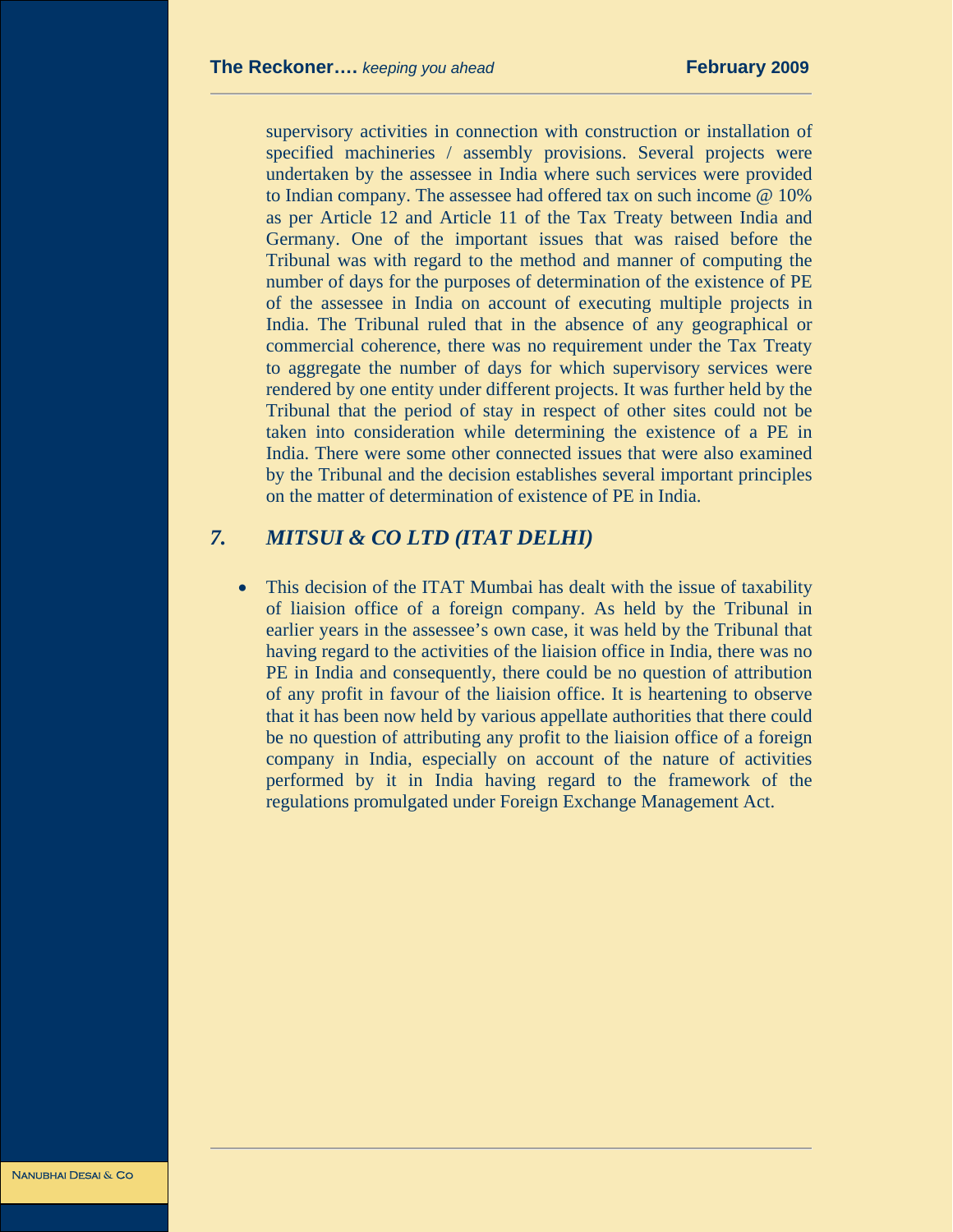supervisory activities in connection with construction or installation of specified machineries / assembly provisions. Several projects were undertaken by the assessee in India where such services were provided to Indian company. The assessee had offered tax on such income @ 10% as per Article 12 and Article 11 of the Tax Treaty between India and Germany. One of the important issues that was raised before the Tribunal was with regard to the method and manner of computing the number of days for the purposes of determination of the existence of PE of the assessee in India on account of executing multiple projects in India. The Tribunal ruled that in the absence of any geographical or commercial coherence, there was no requirement under the Tax Treaty to aggregate the number of days for which supervisory services were rendered by one entity under different projects. It was further held by the Tribunal that the period of stay in respect of other sites could not be taken into consideration while determining the existence of a PE in India. There were some other connected issues that were also examined by the Tribunal and the decision establishes several important principles on the matter of determination of existence of PE in India.

# *7. MITSUI & CO LTD (ITAT DELHI)*

This decision of the ITAT Mumbai has dealt with the issue of taxability of liaision office of a foreign company. As held by the Tribunal in earlier years in the assessee's own case, it was held by the Tribunal that having regard to the activities of the liaision office in India, there was no PE in India and consequently, there could be no question of attribution of any profit in favour of the liaision office. It is heartening to observe that it has been now held by various appellate authorities that there could be no question of attributing any profit to the liaision office of a foreign company in India, especially on account of the nature of activities performed by it in India having regard to the framework of the regulations promulgated under Foreign Exchange Management Act.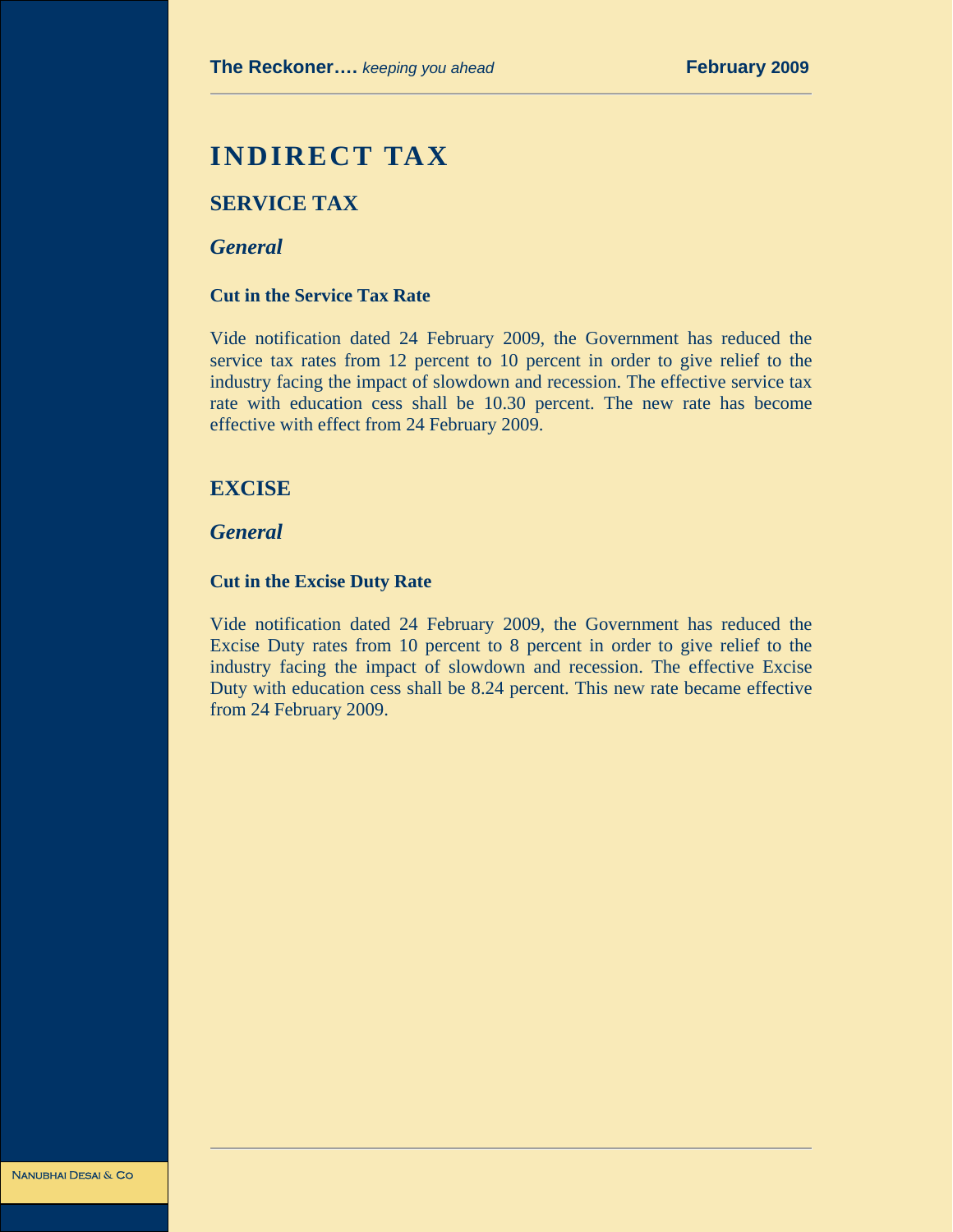# **INDIRECT TAX**

# **SERVICE TAX**

#### *General*

#### **Cut in the Service Tax Rate**

Vide notification dated 24 February 2009, the Government has reduced the service tax rates from 12 percent to 10 percent in order to give relief to the industry facing the impact of slowdown and recession. The effective service tax rate with education cess shall be 10.30 percent. The new rate has become effective with effect from 24 February 2009.

# **EXCISE**

*General* 

#### **Cut in the Excise Duty Rate**

Vide notification dated 24 February 2009, the Government has reduced the Excise Duty rates from 10 percent to 8 percent in order to give relief to the industry facing the impact of slowdown and recession. The effective Excise Duty with education cess shall be 8.24 percent. This new rate became effective from 24 February 2009.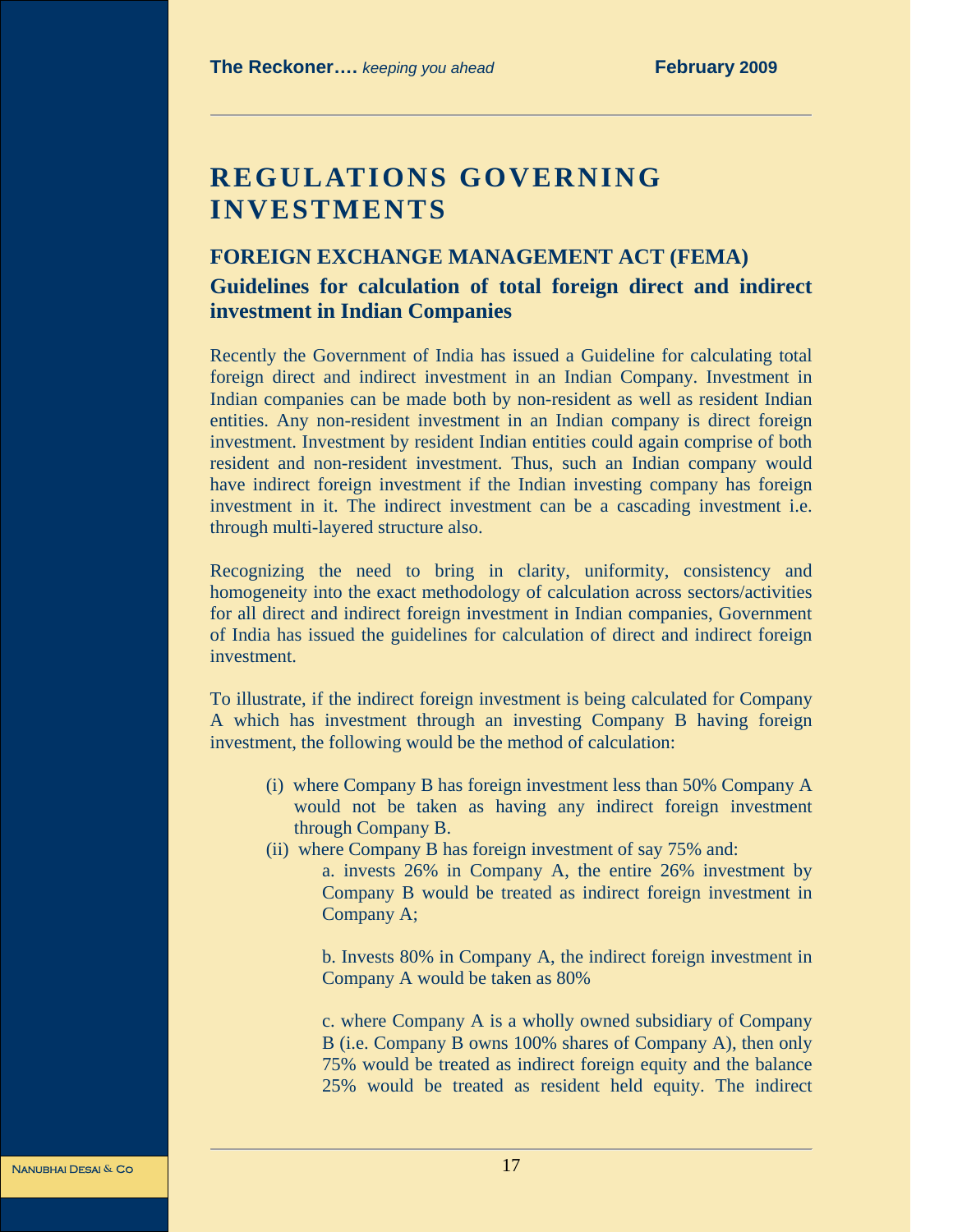# **REGULATIONS GOVERNING INVESTMENTS**

#### **FOREIGN EXCHANGE MANAGEMENT ACT (FEMA)**

# **Guidelines for calculation of total foreign direct and indirect investment in Indian Companies**

Recently the Government of India has issued a Guideline for calculating total foreign direct and indirect investment in an Indian Company. Investment in Indian companies can be made both by non-resident as well as resident Indian entities. Any non-resident investment in an Indian company is direct foreign investment. Investment by resident Indian entities could again comprise of both resident and non-resident investment. Thus, such an Indian company would have indirect foreign investment if the Indian investing company has foreign investment in it. The indirect investment can be a cascading investment i.e. through multi-layered structure also.

Recognizing the need to bring in clarity, uniformity, consistency and homogeneity into the exact methodology of calculation across sectors/activities for all direct and indirect foreign investment in Indian companies, Government of India has issued the guidelines for calculation of direct and indirect foreign investment.

To illustrate, if the indirect foreign investment is being calculated for Company A which has investment through an investing Company B having foreign investment, the following would be the method of calculation:

- (i) where Company B has foreign investment less than 50% Company A would not be taken as having any indirect foreign investment through Company B.
- (ii) where Company B has foreign investment of say 75% and:

a. invests 26% in Company A, the entire 26% investment by Company B would be treated as indirect foreign investment in Company A;

b. Invests 80% in Company A, the indirect foreign investment in Company A would be taken as 80%

c. where Company A is a wholly owned subsidiary of Company B (i.e. Company B owns 100% shares of Company A), then only 75% would be treated as indirect foreign equity and the balance 25% would be treated as resident held equity. The indirect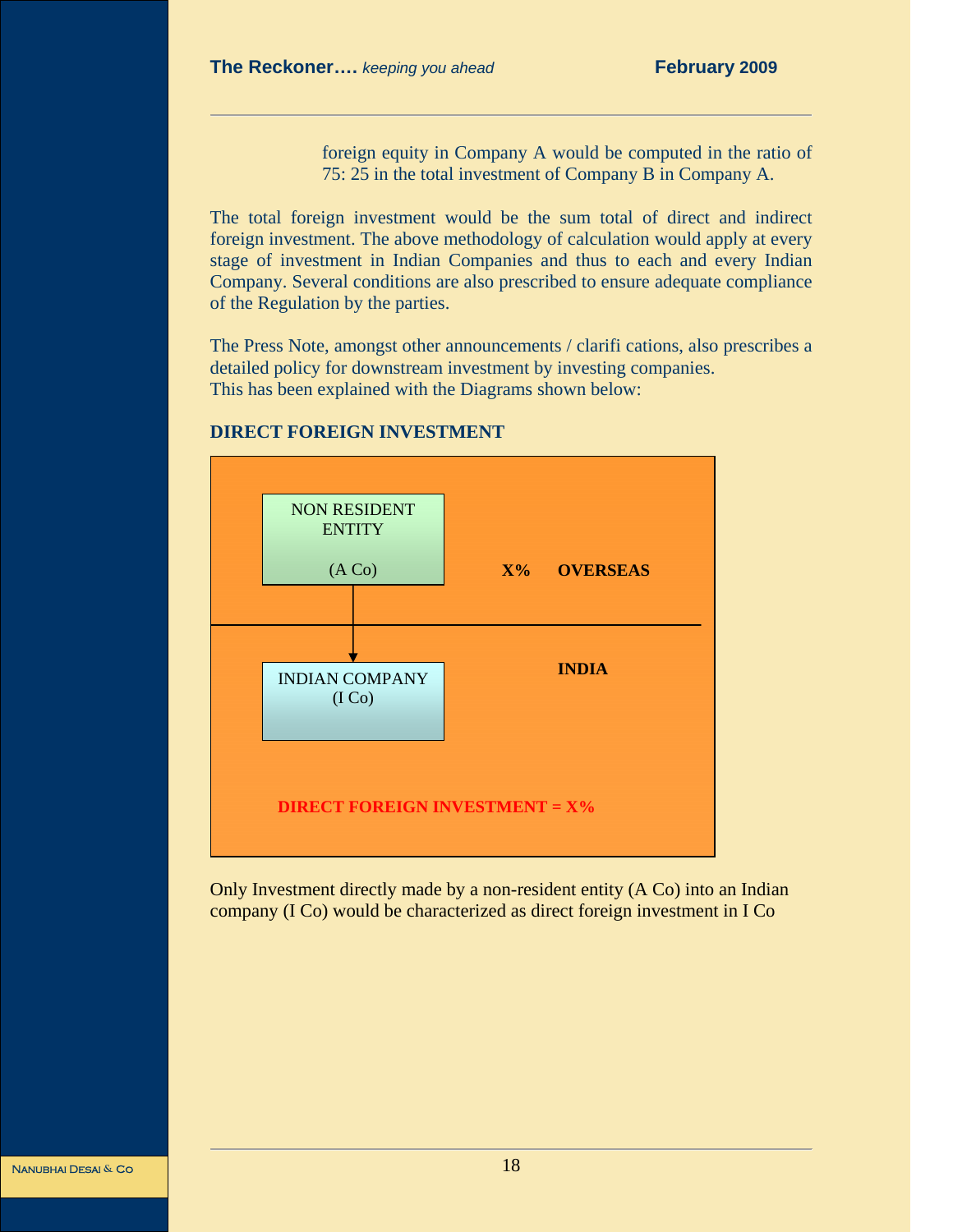foreign equity in Company A would be computed in the ratio of 75: 25 in the total investment of Company B in Company A.

The total foreign investment would be the sum total of direct and indirect foreign investment. The above methodology of calculation would apply at every stage of investment in Indian Companies and thus to each and every Indian Company. Several conditions are also prescribed to ensure adequate compliance of the Regulation by the parties.

The Press Note, amongst other announcements / clarifi cations, also prescribes a detailed policy for downstream investment by investing companies. This has been explained with the Diagrams shown below:



#### **DIRECT FOREIGN INVESTMENT**

Only Investment directly made by a non-resident entity (A Co) into an Indian company (I Co) would be characterized as direct foreign investment in I Co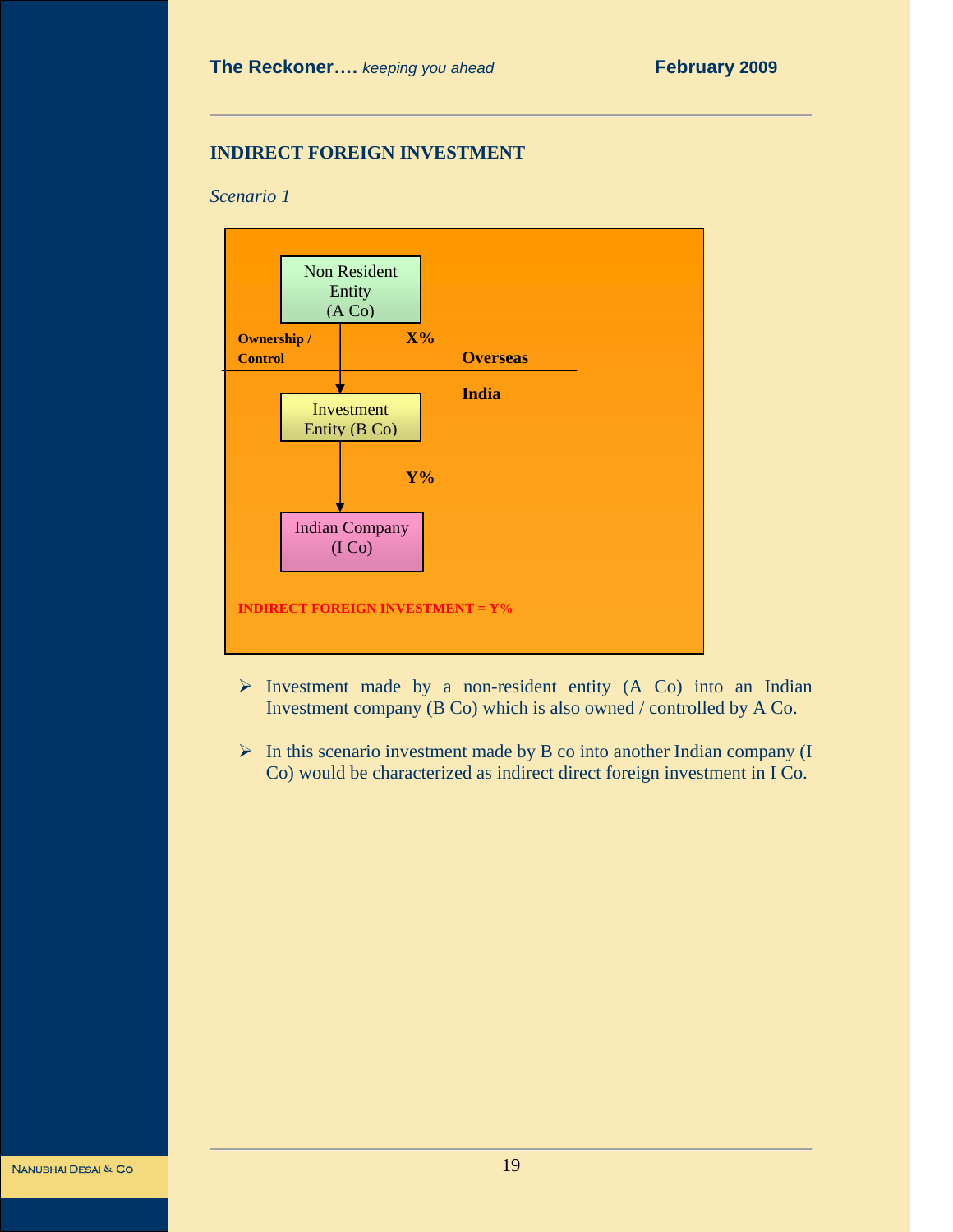#### **INDIRECT FOREIGN INVESTMENT**

#### *Scenario 1*



- $\triangleright$  Investment made by a non-resident entity (A Co) into an Indian Investment company (B Co) which is also owned / controlled by A Co.
- $\triangleright$  In this scenario investment made by B co into another Indian company (I Co) would be characterized as indirect direct foreign investment in I Co.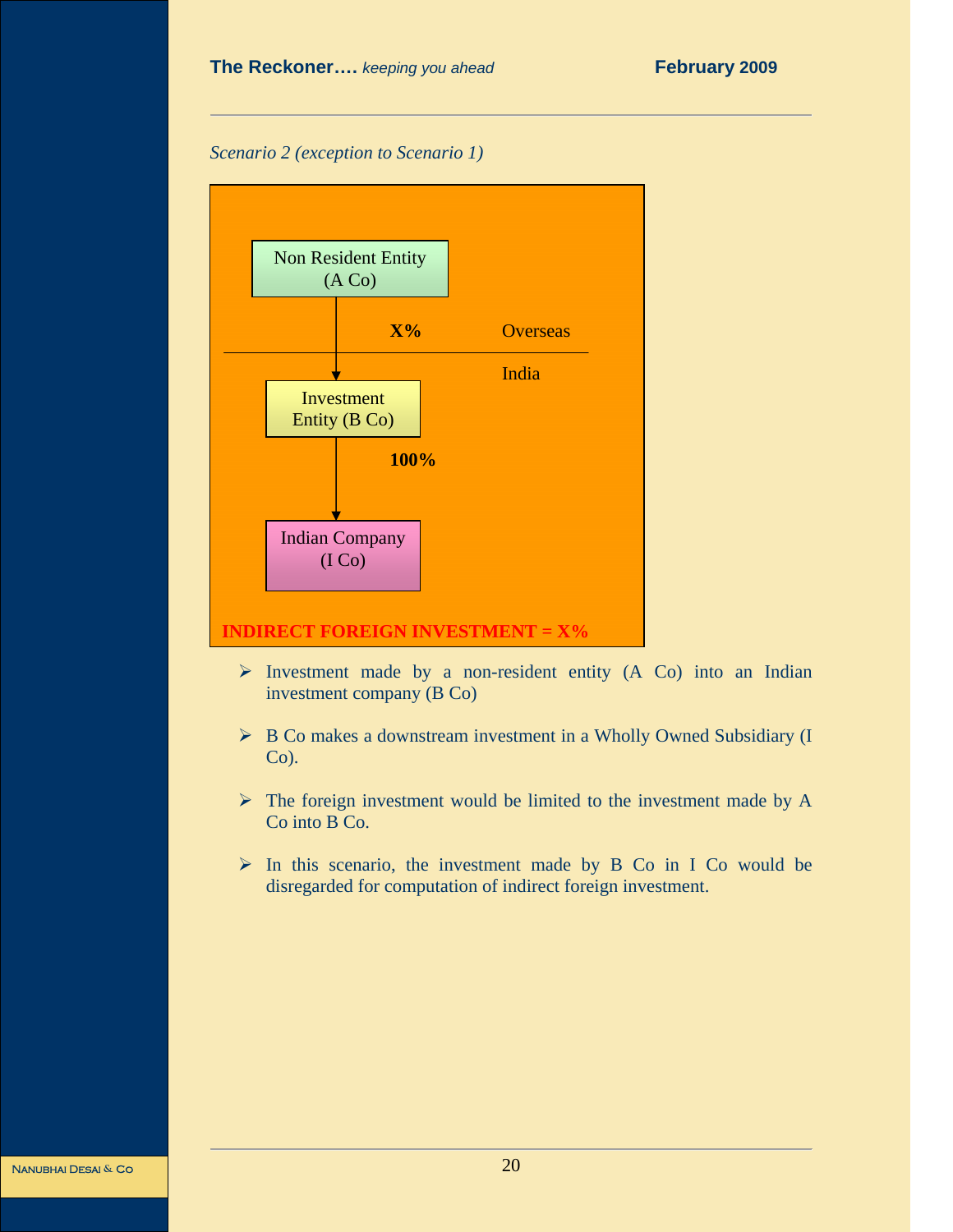#### **The Reckoner....** *keeping you ahead* **February 2009**

*Scenario 2 (exception to Scenario 1)* 



- $\triangleright$  Investment made by a non-resident entity (A Co) into an Indian investment company (B Co)
- ¾ B Co makes a downstream investment in a Wholly Owned Subsidiary (I  $Co$ ).
- $\triangleright$  The foreign investment would be limited to the investment made by A Co into B Co.
- ¾ In this scenario, the investment made by B Co in I Co would be disregarded for computation of indirect foreign investment.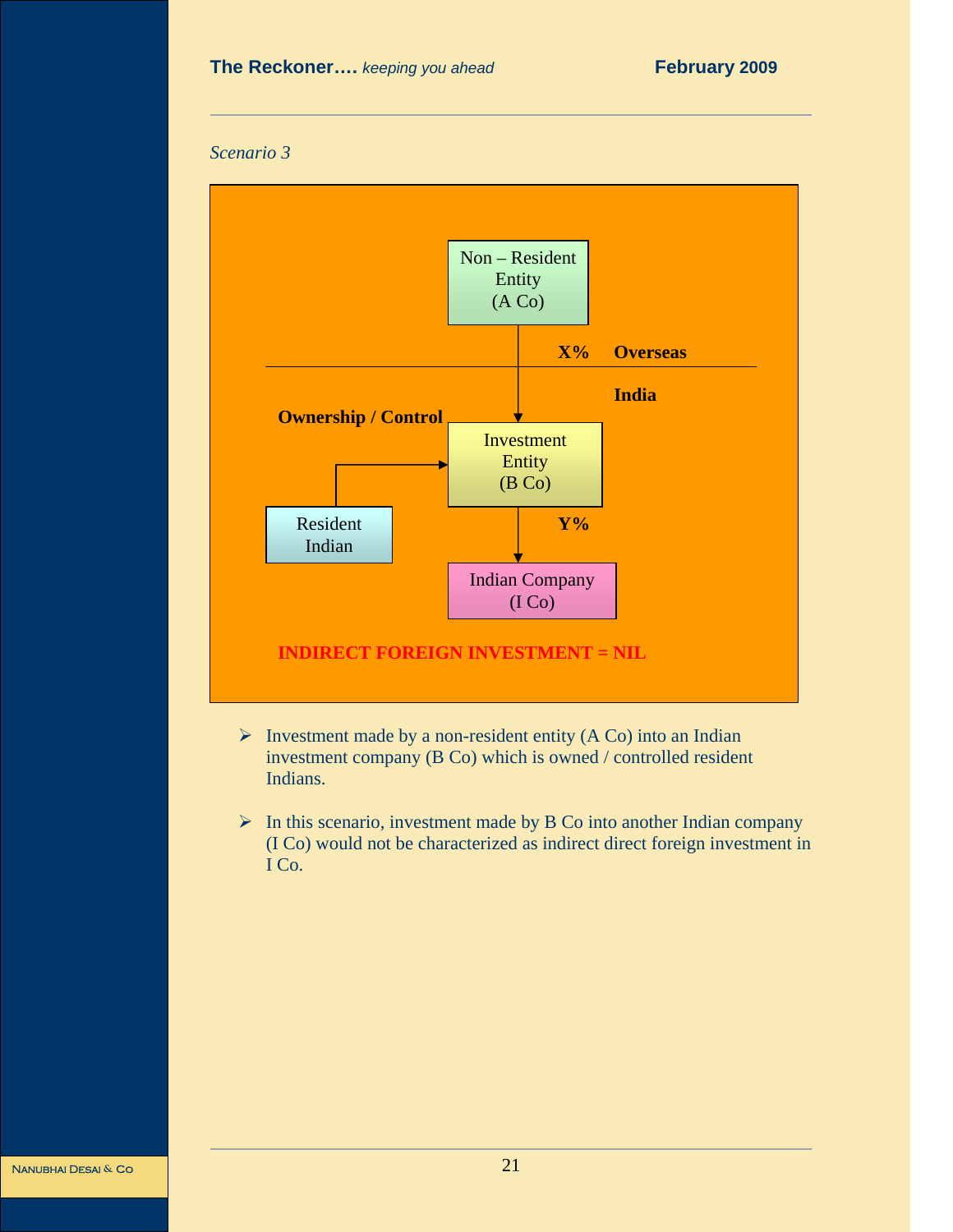



- $\triangleright$  Investment made by a non-resident entity (A Co) into an Indian investment company (B Co) which is owned / controlled resident Indians.
- $\triangleright$  In this scenario, investment made by B Co into another Indian company (I Co) would not be characterized as indirect direct foreign investment in I Co.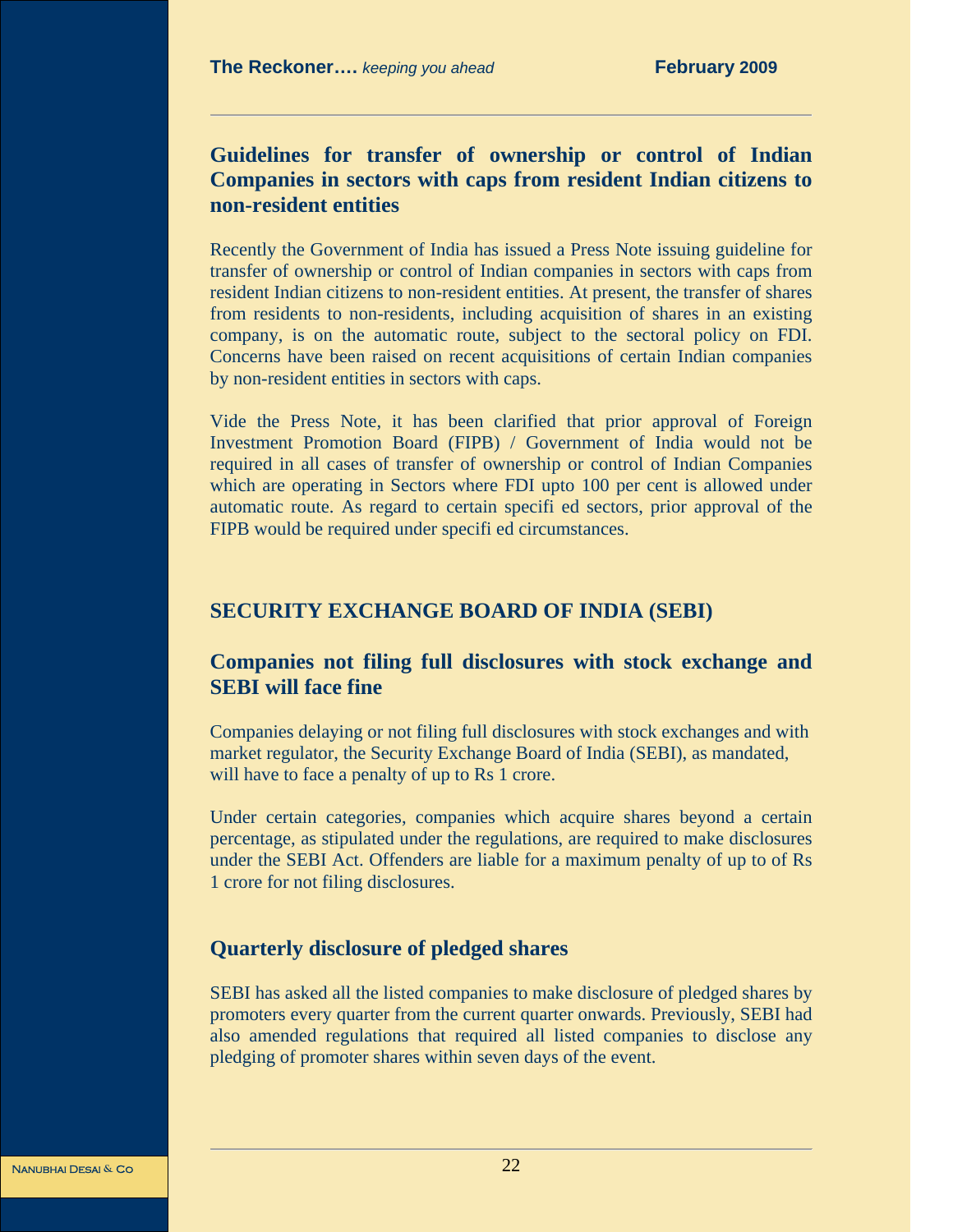# **Guidelines for transfer of ownership or control of Indian Companies in sectors with caps from resident Indian citizens to non-resident entities**

Recently the Government of India has issued a Press Note issuing guideline for transfer of ownership or control of Indian companies in sectors with caps from resident Indian citizens to non-resident entities. At present, the transfer of shares from residents to non-residents, including acquisition of shares in an existing company, is on the automatic route, subject to the sectoral policy on FDI. Concerns have been raised on recent acquisitions of certain Indian companies by non-resident entities in sectors with caps.

Vide the Press Note, it has been clarified that prior approval of Foreign Investment Promotion Board (FIPB) / Government of India would not be required in all cases of transfer of ownership or control of Indian Companies which are operating in Sectors where FDI upto 100 per cent is allowed under automatic route. As regard to certain specifi ed sectors, prior approval of the FIPB would be required under specifi ed circumstances.

#### **SECURITY EXCHANGE BOARD OF INDIA (SEBI)**

# **Companies not filing full disclosures with stock exchange and SEBI will face fine**

Companies delaying or not filing full disclosures with stock exchanges and with market regulator, the Security Exchange Board of India (SEBI), as mandated, will have to face a penalty of up to Rs 1 crore.

Under certain categories, companies which acquire shares beyond a certain percentage, as stipulated under the regulations, are required to make disclosures under the SEBI Act. Offenders are liable for a maximum penalty of up to of Rs 1 crore for not filing disclosures.

#### **Quarterly disclosure of pledged shares**

SEBI has asked all the listed companies to make disclosure of pledged shares by promoters every quarter from the current quarter onwards. Previously, SEBI had also amended regulations that required all listed companies to disclose any pledging of promoter shares within seven days of the event.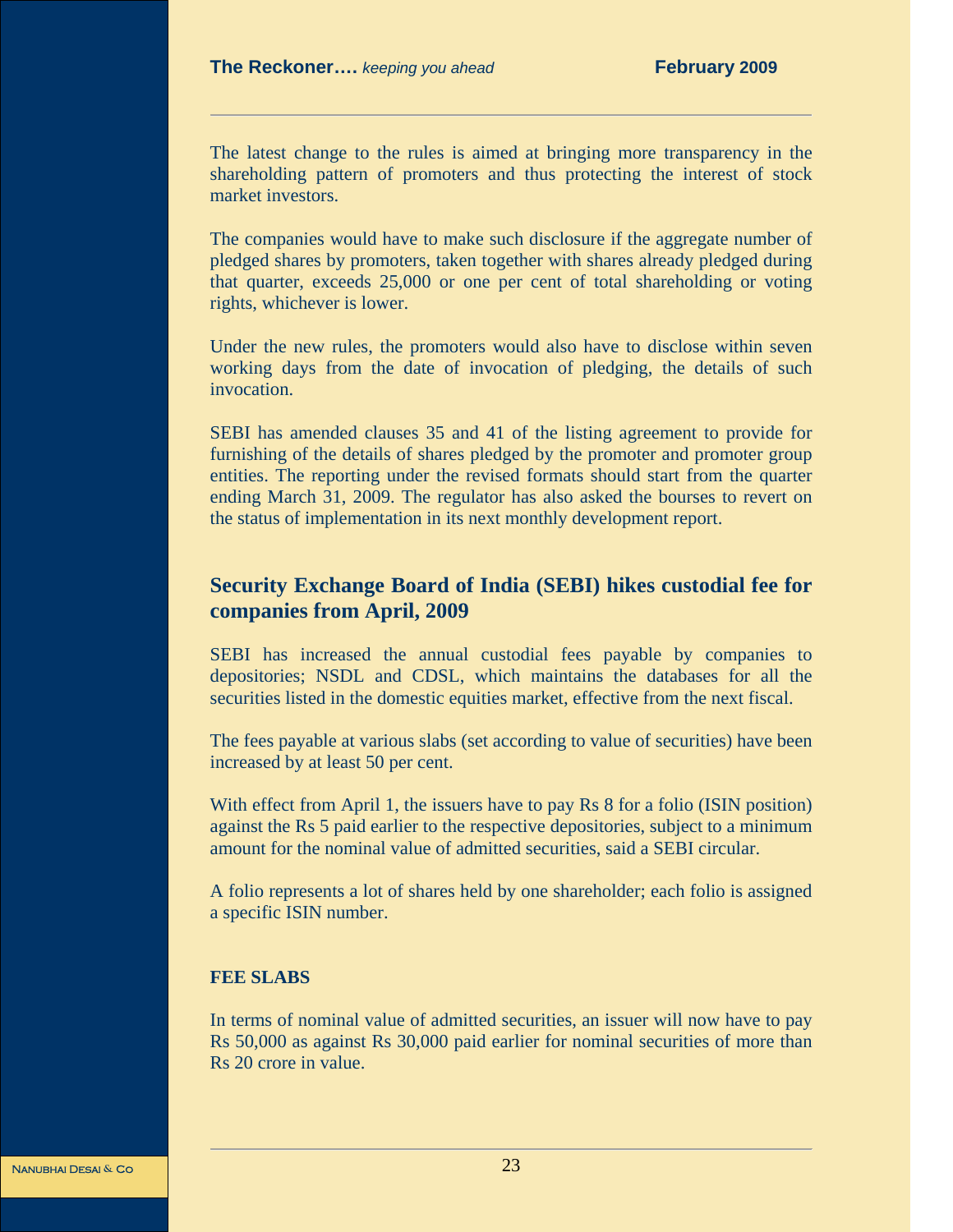The latest change to the rules is aimed at bringing more transparency in the shareholding pattern of promoters and thus protecting the interest of stock market investors.

The companies would have to make such disclosure if the aggregate number of pledged shares by promoters, taken together with shares already pledged during that quarter, exceeds 25,000 or one per cent of total shareholding or voting rights, whichever is lower.

Under the new rules, the promoters would also have to disclose within seven working days from the date of invocation of pledging, the details of such invocation.

SEBI has amended clauses 35 and 41 of the listing agreement to provide for furnishing of the details of shares pledged by the promoter and promoter group entities. The reporting under the revised formats should start from the quarter ending March 31, 2009. The regulator has also asked the bourses to revert on the status of implementation in its next monthly development report.

## **Security Exchange Board of India (SEBI) hikes custodial fee for companies from April, 2009**

SEBI has increased the annual custodial fees payable by companies to depositories; NSDL and CDSL, which maintains the databases for all the securities listed in the domestic equities market, effective from the next fiscal.

The fees payable at various slabs (set according to value of securities) have been increased by at least 50 per cent.

With effect from April 1, the issuers have to pay Rs 8 for a folio (ISIN position) against the Rs 5 paid earlier to the respective depositories, subject to a minimum amount for the nominal value of admitted securities, said a SEBI circular.

A folio represents a lot of shares held by one shareholder; each folio is assigned a specific ISIN number.

#### **FEE SLABS**

In terms of nominal value of admitted securities, an issuer will now have to pay Rs 50,000 as against Rs 30,000 paid earlier for nominal securities of more than Rs 20 crore in value.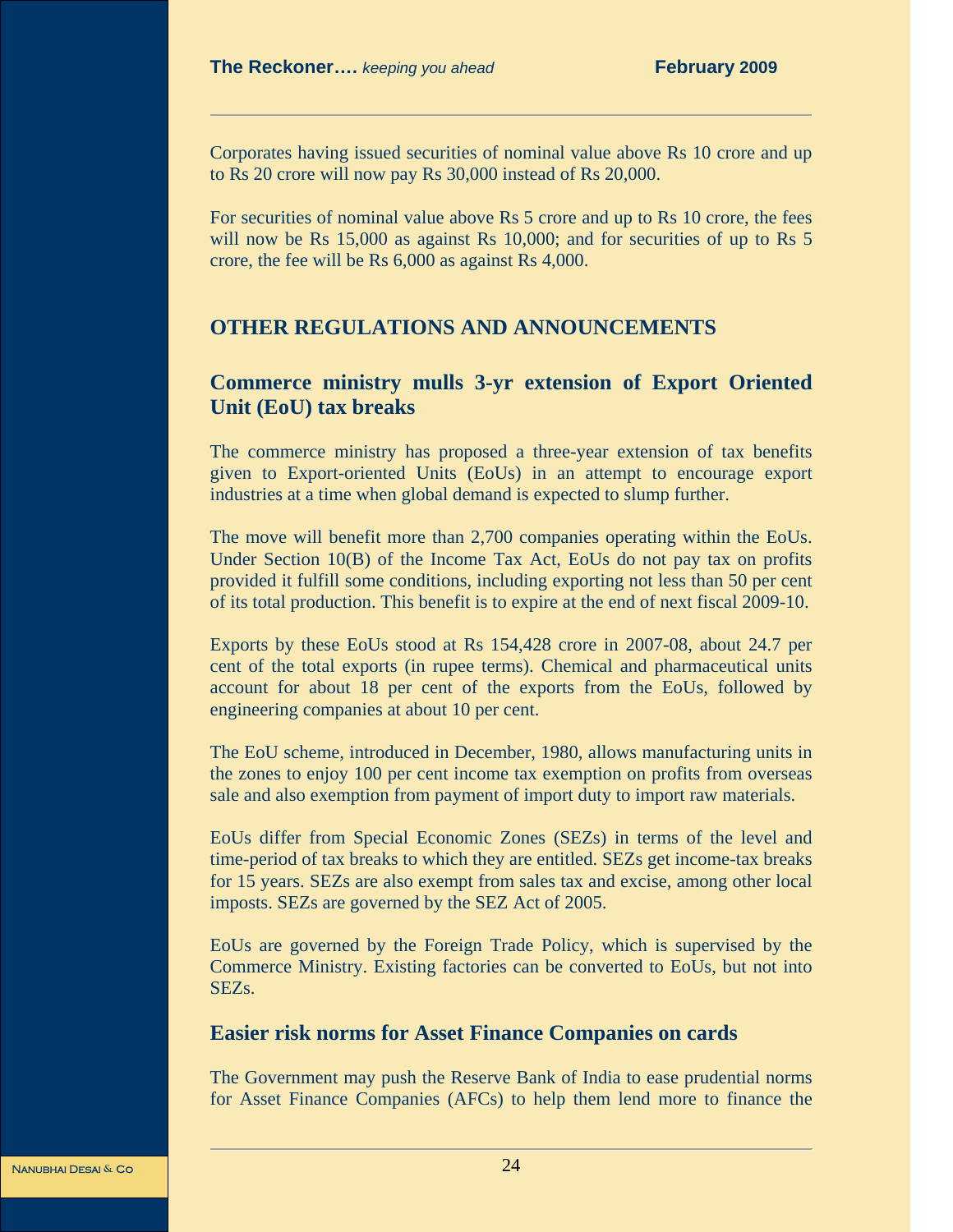Corporates having issued securities of nominal value above Rs 10 crore and up to Rs 20 crore will now pay Rs 30,000 instead of Rs 20,000.

For securities of nominal value above Rs 5 crore and up to Rs 10 crore, the fees will now be Rs 15,000 as against Rs 10,000; and for securities of up to Rs 5 crore, the fee will be Rs 6,000 as against Rs 4,000.

## **OTHER REGULATIONS AND ANNOUNCEMENTS**

# **Commerce ministry mulls 3-yr extension of Export Oriented Unit (EoU) tax breaks**

The commerce ministry has proposed a three-year extension of tax benefits given to Export-oriented Units (EoUs) in an attempt to encourage export industries at a time when global demand is expected to slump further.

The move will benefit more than 2,700 companies operating within the EoUs. Under Section 10(B) of the Income Tax Act, EoUs do not pay tax on profits provided it fulfill some conditions, including exporting not less than 50 per cent of its total production. This benefit is to expire at the end of next fiscal 2009-10.

Exports by these EoUs stood at Rs 154,428 crore in 2007-08, about 24.7 per cent of the total exports (in rupee terms). Chemical and pharmaceutical units account for about 18 per cent of the exports from the EoUs, followed by engineering companies at about 10 per cent.

The EoU scheme, introduced in December, 1980, allows manufacturing units in the zones to enjoy 100 per cent income tax exemption on profits from overseas sale and also exemption from payment of import duty to import raw materials.

EoUs differ from Special Economic Zones (SEZs) in terms of the level and time-period of tax breaks to which they are entitled. SEZs get income-tax breaks for 15 years. SEZs are also exempt from sales tax and excise, among other local imposts. SEZs are governed by the SEZ Act of 2005.

EoUs are governed by the Foreign Trade Policy, which is supervised by the Commerce Ministry. Existing factories can be converted to EoUs, but not into SEZs.

#### **Easier risk norms for Asset Finance Companies on cards**

The Government may push the Reserve Bank of India to ease prudential norms for Asset Finance Companies (AFCs) to help them lend more to finance the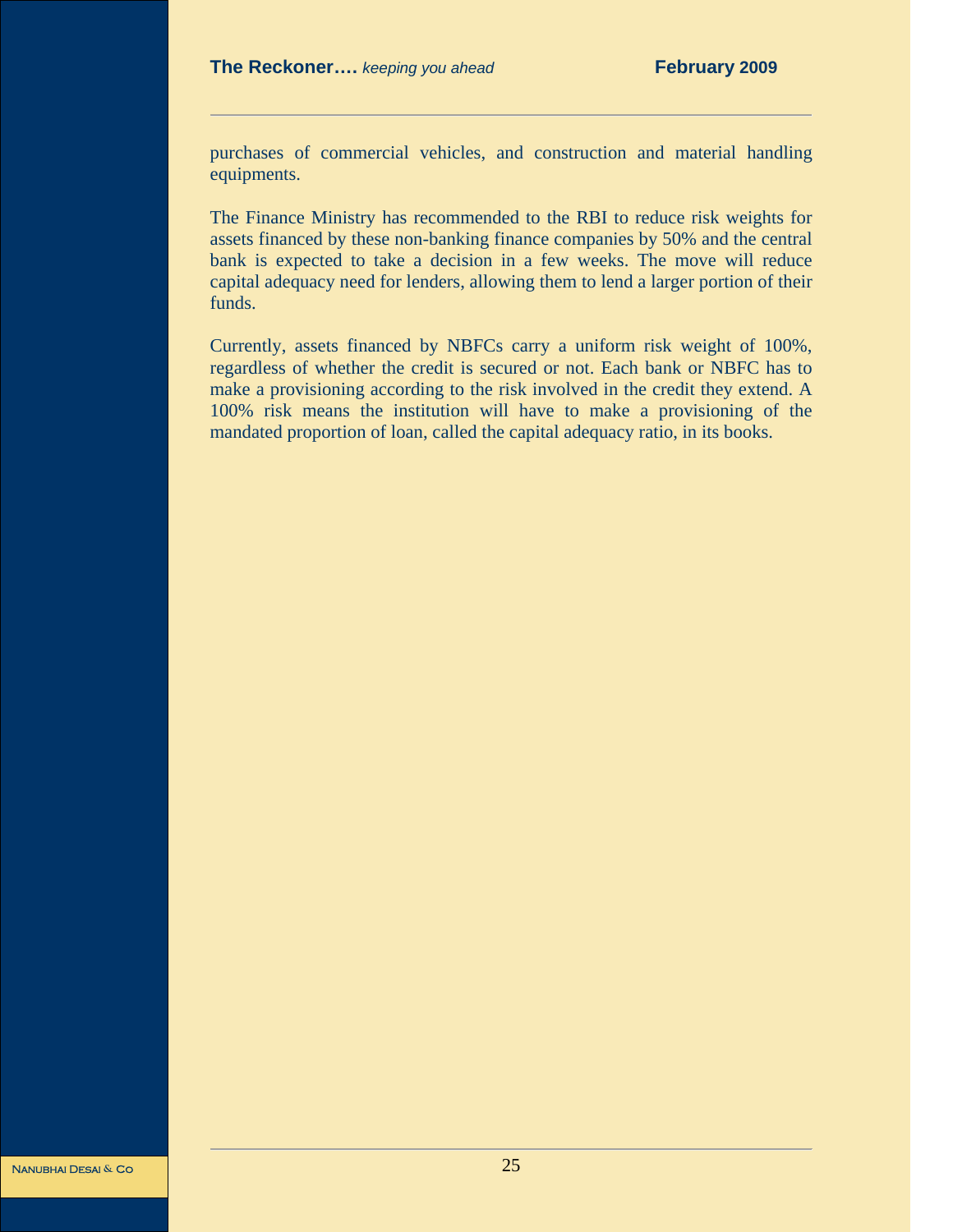purchases of commercial vehicles, and construction and material handling equipments.

The Finance Ministry has recommended to the RBI to reduce risk weights for assets financed by these non-banking finance companies by 50% and the central bank is expected to take a decision in a few weeks. The move will reduce capital adequacy need for lenders, allowing them to lend a larger portion of their funds.

Currently, assets financed by NBFCs carry a uniform risk weight of 100%, regardless of whether the credit is secured or not. Each bank or NBFC has to make a provisioning according to the risk involved in the credit they extend. A 100% risk means the institution will have to make a provisioning of the mandated proportion of loan, called the capital adequacy ratio, in its books.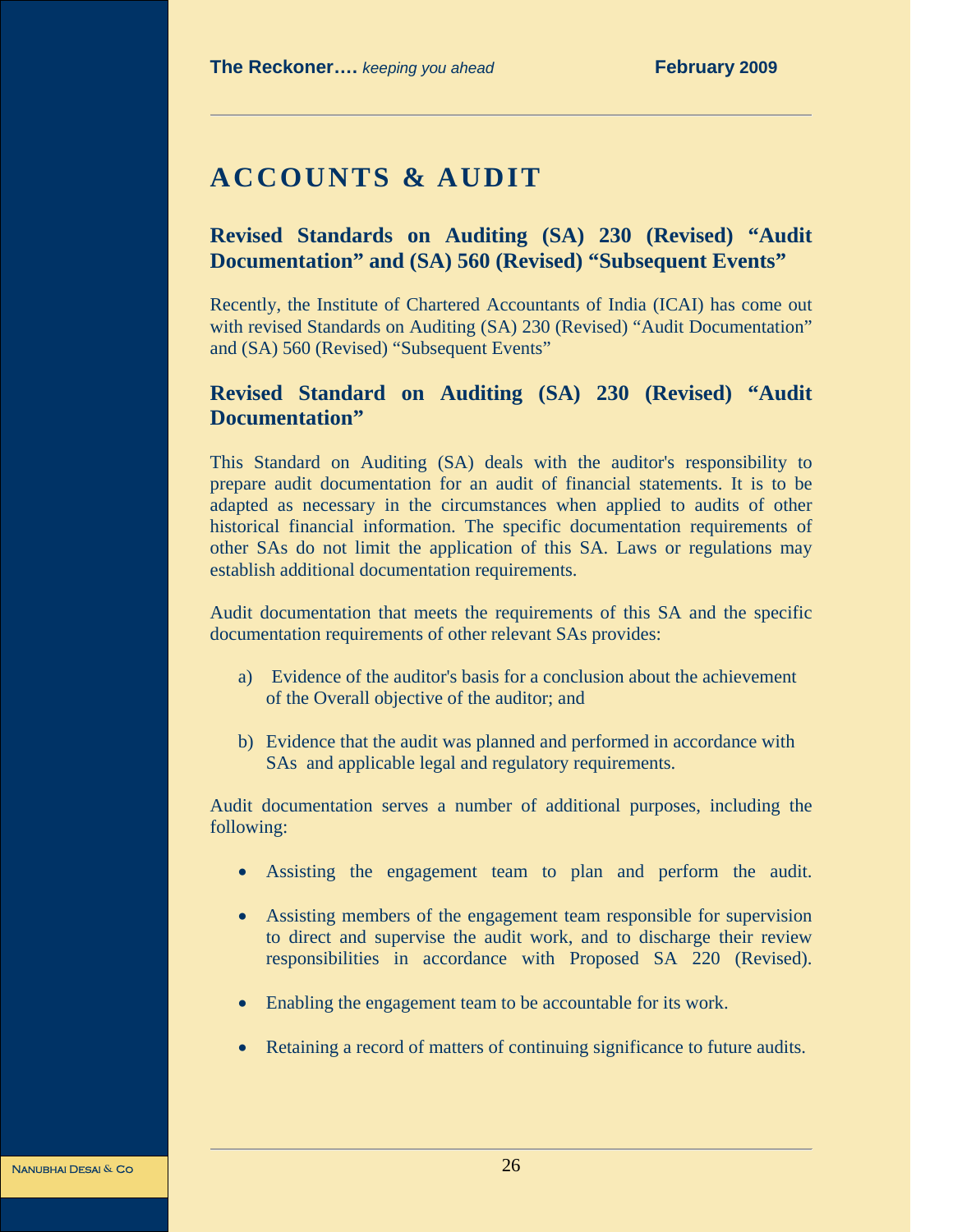# **ACCOUNTS & AUDIT**

# **Revised Standards on Auditing (SA) 230 (Revised) "Audit Documentation" and (SA) 560 (Revised) "Subsequent Events"**

Recently, the Institute of Chartered Accountants of India (ICAI) has come out with revised Standards on Auditing (SA) 230 (Revised) "Audit Documentation" and (SA) 560 (Revised) "Subsequent Events"

# **Revised Standard on Auditing (SA) 230 (Revised) "Audit Documentation"**

This Standard on Auditing (SA) deals with the auditor's responsibility to prepare audit documentation for an audit of financial statements. It is to be adapted as necessary in the circumstances when applied to audits of other historical financial information. The specific documentation requirements of other SAs do not limit the application of this SA. Laws or regulations may establish additional documentation requirements.

Audit documentation that meets the requirements of this SA and the specific documentation requirements of other relevant SAs provides:

- a) Evidence of the auditor's basis for a conclusion about the achievement of the Overall objective of the auditor; and
- b) Evidence that the audit was planned and performed in accordance with SAs and applicable legal and regulatory requirements.

Audit documentation serves a number of additional purposes, including the following:

- Assisting the engagement team to plan and perform the audit.
- Assisting members of the engagement team responsible for supervision to direct and supervise the audit work, and to discharge their review responsibilities in accordance with Proposed SA 220 (Revised).
- Enabling the engagement team to be accountable for its work.
- Retaining a record of matters of continuing significance to future audits.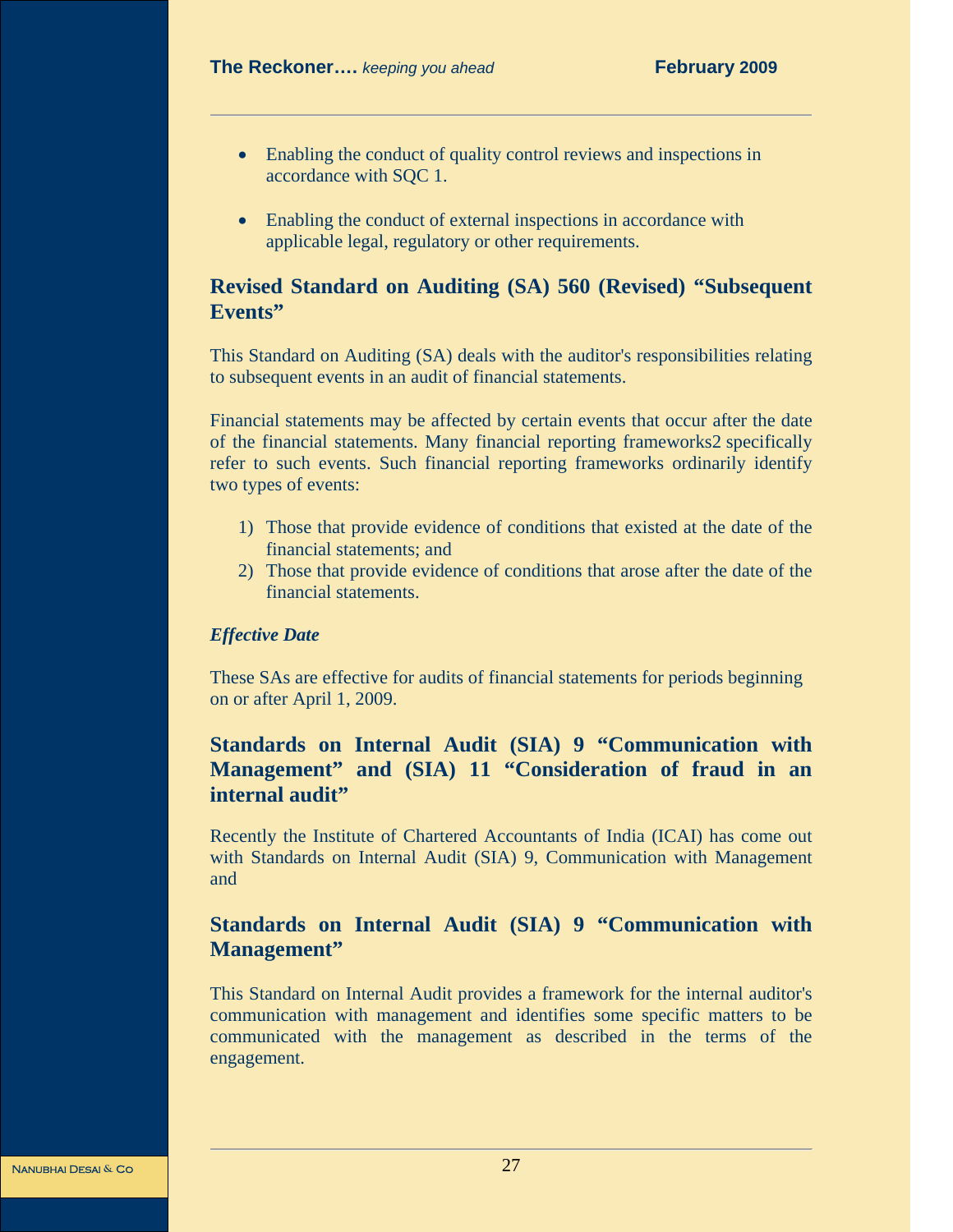- Enabling the conduct of quality control reviews and inspections in accordance with SQC 1.
- Enabling the conduct of external inspections in accordance with applicable legal, regulatory or other requirements.

# **Revised Standard on Auditing (SA) 560 (Revised) "Subsequent Events"**

This Standard on Auditing (SA) deals with the auditor's responsibilities relating to subsequent events in an audit of financial statements.

Financial statements may be affected by certain events that occur after the date of the financial statements. Many financial reporting frameworks2 specifically refer to such events. Such financial reporting frameworks ordinarily identify two types of events:

- 1) Those that provide evidence of conditions that existed at the date of the financial statements; and
- 2) Those that provide evidence of conditions that arose after the date of the financial statements.

#### *Effective Date*

These SAs are effective for audits of financial statements for periods beginning on or after April 1, 2009.

# **Standards on Internal Audit (SIA) 9 "Communication with Management" and (SIA) 11 "Consideration of fraud in an internal audit"**

Recently the Institute of Chartered Accountants of India (ICAI) has come out with Standards on Internal Audit (SIA) 9, Communication with Management and

# **Standards on Internal Audit (SIA) 9 "Communication with Management"**

This Standard on Internal Audit provides a framework for the internal auditor's communication with management and identifies some specific matters to be communicated with the management as described in the terms of the engagement.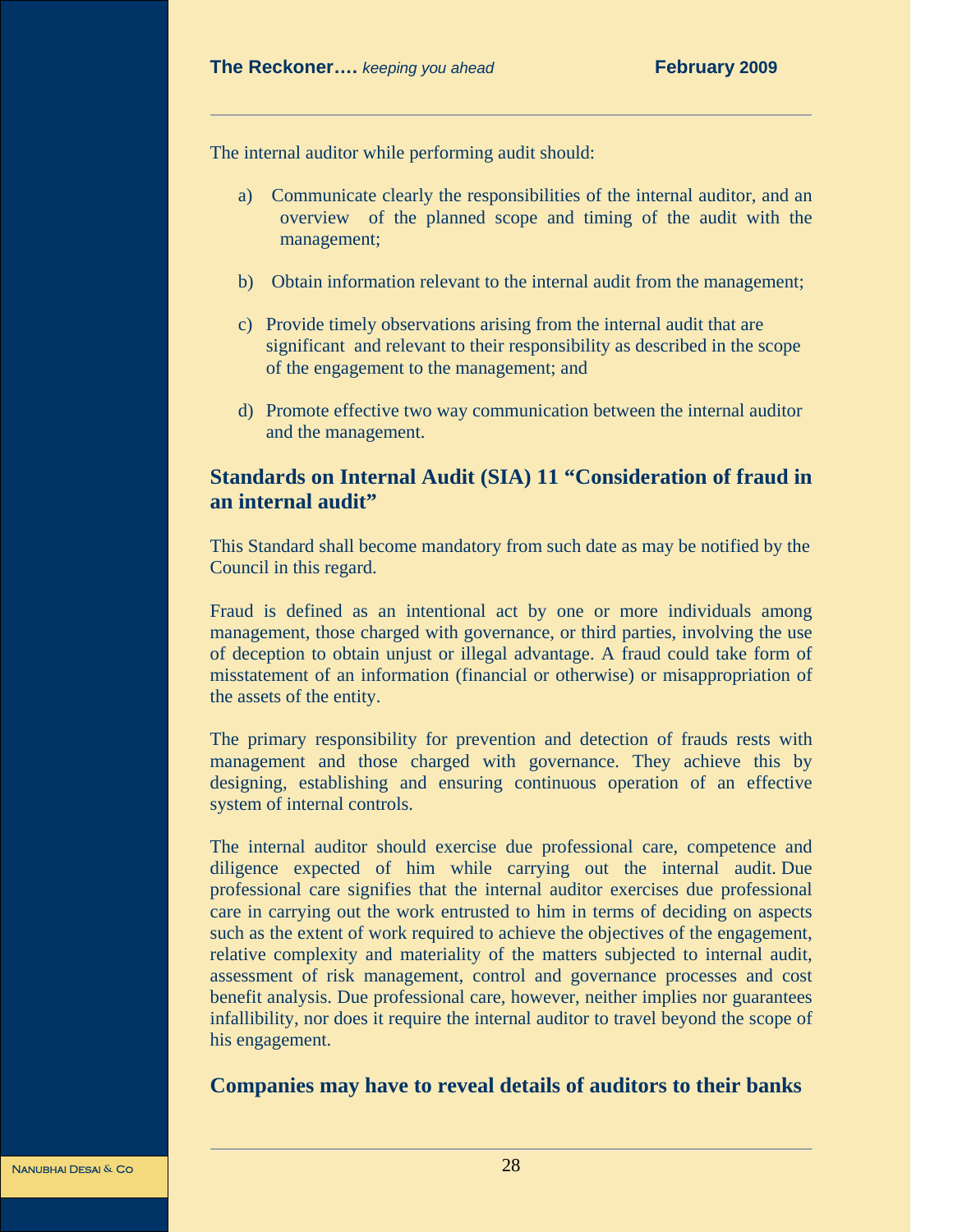The internal auditor while performing audit should:

- a) Communicate clearly the responsibilities of the internal auditor, and an overview of the planned scope and timing of the audit with the management;
- b) Obtain information relevant to the internal audit from the management;
- c) Provide timely observations arising from the internal audit that are significant and relevant to their responsibility as described in the scope of the engagement to the management; and
- d) Promote effective two way communication between the internal auditor and the management.

# **Standards on Internal Audit (SIA) 11 "Consideration of fraud in an internal audit"**

This Standard shall become mandatory from such date as may be notified by the Council in this regard.

Fraud is defined as an intentional act by one or more individuals among management, those charged with governance, or third parties, involving the use of deception to obtain unjust or illegal advantage. A fraud could take form of misstatement of an information (financial or otherwise) or misappropriation of the assets of the entity.

The primary responsibility for prevention and detection of frauds rests with management and those charged with governance. They achieve this by designing, establishing and ensuring continuous operation of an effective system of internal controls.

The internal auditor should exercise due professional care, competence and diligence expected of him while carrying out the internal audit. Due professional care signifies that the internal auditor exercises due professional care in carrying out the work entrusted to him in terms of deciding on aspects such as the extent of work required to achieve the objectives of the engagement, relative complexity and materiality of the matters subjected to internal audit, assessment of risk management, control and governance processes and cost benefit analysis. Due professional care, however, neither implies nor guarantees infallibility, nor does it require the internal auditor to travel beyond the scope of his engagement.

# **Companies may have to reveal details of auditors to their banks**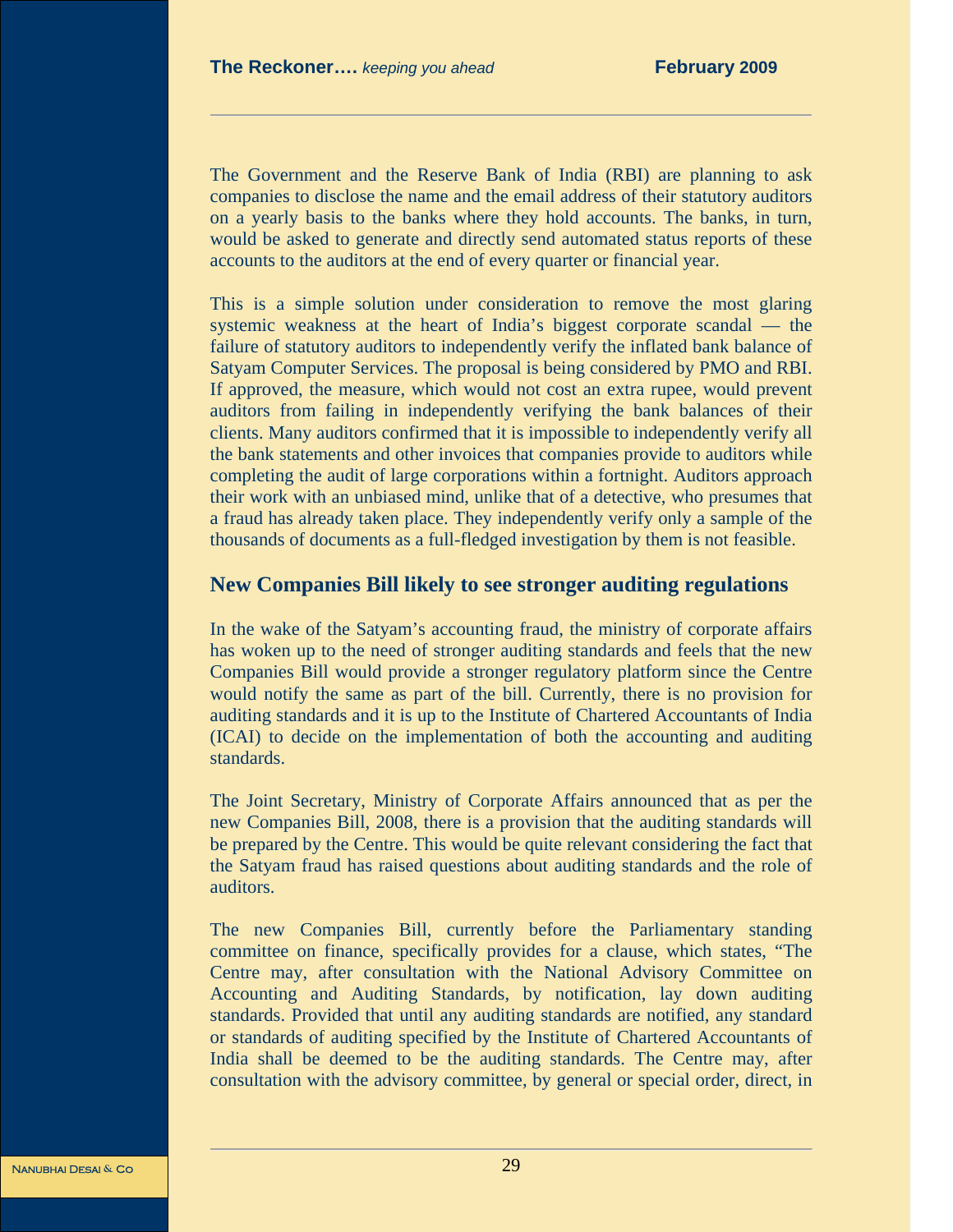The Government and the Reserve Bank of India (RBI) are planning to ask companies to disclose the name and the email address of their statutory auditors on a yearly basis to the banks where they hold accounts. The banks, in turn, would be asked to generate and directly send automated status reports of these accounts to the auditors at the end of every quarter or financial year.

This is a simple solution under consideration to remove the most glaring systemic weakness at the heart of India's biggest corporate scandal — the failure of statutory auditors to independently verify the inflated bank balance of Satyam Computer Services. The proposal is being considered by PMO and RBI. If approved, the measure, which would not cost an extra rupee, would prevent auditors from failing in independently verifying the bank balances of their clients. Many auditors confirmed that it is impossible to independently verify all the bank statements and other invoices that companies provide to auditors while completing the audit of large corporations within a fortnight. Auditors approach their work with an unbiased mind, unlike that of a detective, who presumes that a fraud has already taken place. They independently verify only a sample of the thousands of documents as a full-fledged investigation by them is not feasible.

### **New Companies Bill likely to see stronger auditing regulations**

In the wake of the Satyam's accounting fraud, the ministry of corporate affairs has woken up to the need of stronger auditing standards and feels that the new Companies Bill would provide a stronger regulatory platform since the Centre would notify the same as part of the bill. Currently, there is no provision for auditing standards and it is up to the Institute of Chartered Accountants of India (ICAI) to decide on the implementation of both the accounting and auditing standards.

The Joint Secretary, Ministry of Corporate Affairs announced that as per the new Companies Bill, 2008, there is a provision that the auditing standards will be prepared by the Centre. This would be quite relevant considering the fact that the Satyam fraud has raised questions about auditing standards and the role of auditors.

The new Companies Bill, currently before the Parliamentary standing committee on finance, specifically provides for a clause, which states, "The Centre may, after consultation with the National Advisory Committee on Accounting and Auditing Standards, by notification, lay down auditing standards. Provided that until any auditing standards are notified, any standard or standards of auditing specified by the Institute of Chartered Accountants of India shall be deemed to be the auditing standards. The Centre may, after consultation with the advisory committee, by general or special order, direct, in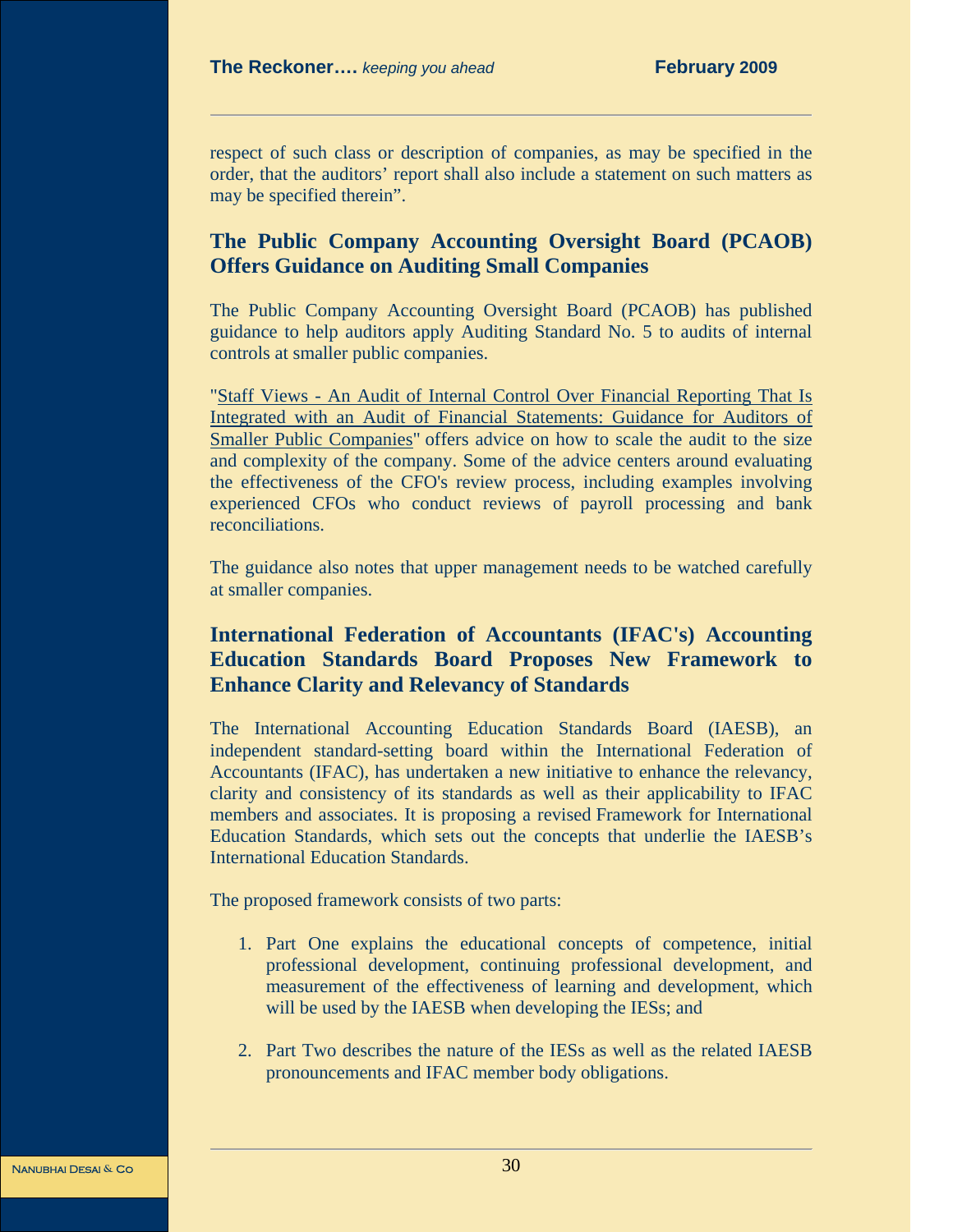respect of such class or description of companies, as may be specified in the order, that the auditors' report shall also include a statement on such matters as may be specified therein".

# **The Public Company Accounting Oversight Board (PCAOB) Offers Guidance on Auditing Small Companies**

The Public Company Accounting Oversight Board (PCAOB) has published guidance to help auditors apply Auditing Standard No. 5 to audits of internal controls at smaller public companies.

"Staff Views - An Audit of Internal Control Over Financial Reporting That Is Integrated with an Audit of Financial Statements: Guidance for Auditors of Smaller Public Companies" offers advice on how to scale the audit to the size and complexity of the company. Some of the advice centers around evaluating the effectiveness of the CFO's review process, including examples involving experienced CFOs who conduct reviews of payroll processing and bank reconciliations.

The guidance also notes that upper management needs to be watched carefully at smaller companies.

# **International Federation of Accountants (IFAC's) Accounting Education Standards Board Proposes New Framework to Enhance Clarity and Relevancy of Standards**

The International Accounting Education Standards Board (IAESB), an independent standard-setting board within the International Federation of Accountants (IFAC), has undertaken a new initiative to enhance the relevancy, clarity and consistency of its standards as well as their applicability to IFAC members and associates. It is proposing a revised Framework for International Education Standards, which sets out the concepts that underlie the IAESB's International Education Standards.

The proposed framework consists of two parts:

- 1. Part One explains the educational concepts of competence, initial professional development, continuing professional development, and measurement of the effectiveness of learning and development, which will be used by the IAESB when developing the IESs; and
- 2. Part Two describes the nature of the IESs as well as the related IAESB pronouncements and IFAC member body obligations.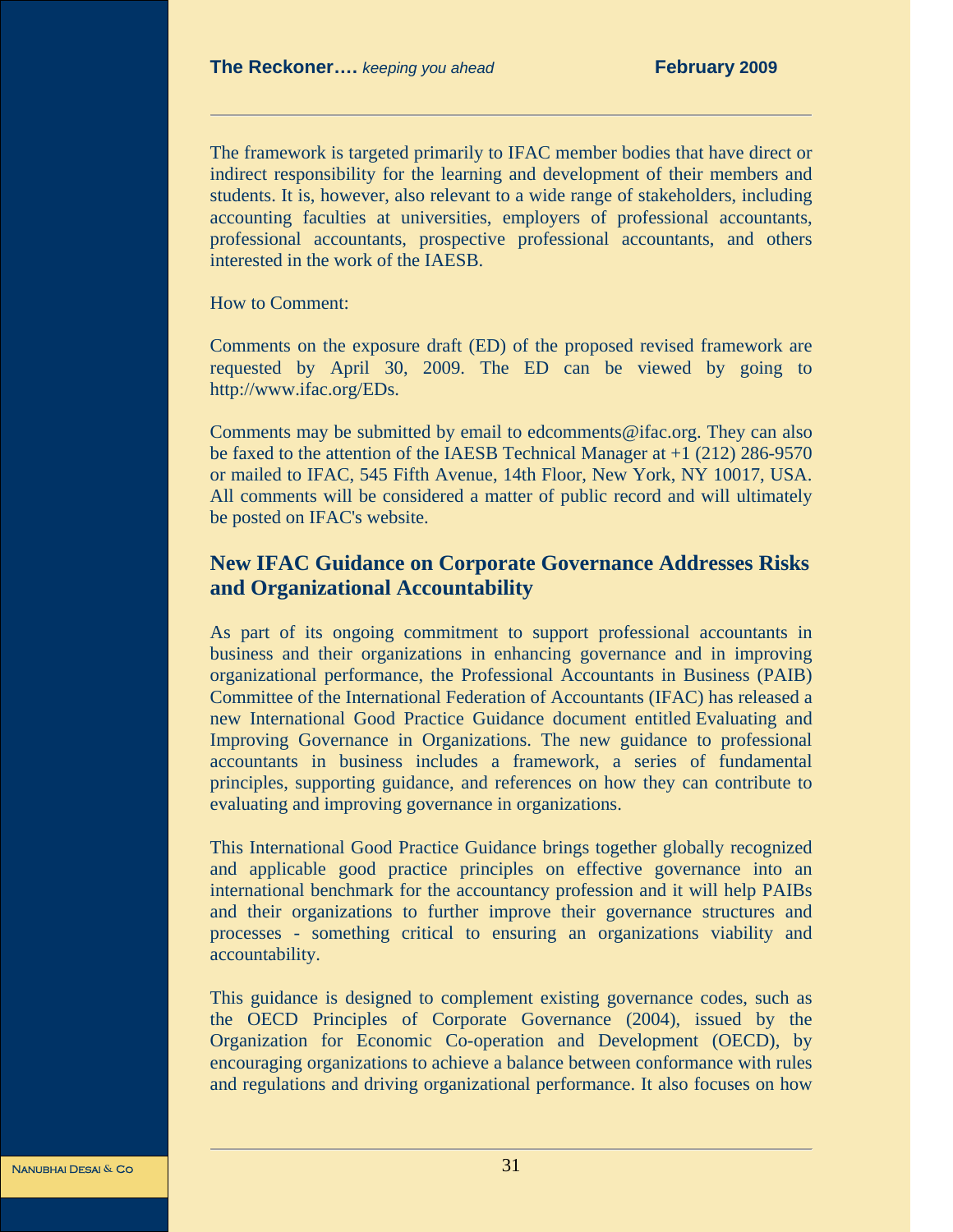The framework is targeted primarily to IFAC member bodies that have direct or indirect responsibility for the learning and development of their members and students. It is, however, also relevant to a wide range of stakeholders, including accounting faculties at universities, employers of professional accountants, professional accountants, prospective professional accountants, and others interested in the work of the IAESB.

How to Comment:

Comments on the exposure draft (ED) of the proposed revised framework are requested by April 30, 2009. The ED can be viewed by going to http://www.ifac.org/EDs.

Comments may be submitted by email to edcomments@ifac.org. They can also be faxed to the attention of the IAESB Technical Manager at +1 (212) 286-9570 or mailed to IFAC, 545 Fifth Avenue, 14th Floor, New York, NY 10017, USA. All comments will be considered a matter of public record and will ultimately be posted on IFAC's website.

# **New IFAC Guidance on Corporate Governance Addresses Risks and Organizational Accountability**

As part of its ongoing commitment to support professional accountants in business and their organizations in enhancing governance and in improving organizational performance, the Professional Accountants in Business (PAIB) Committee of the International Federation of Accountants (IFAC) has released a new International Good Practice Guidance document entitled Evaluating and Improving Governance in Organizations. The new guidance to professional accountants in business includes a framework, a series of fundamental principles, supporting guidance, and references on how they can contribute to evaluating and improving governance in organizations.

This International Good Practice Guidance brings together globally recognized and applicable good practice principles on effective governance into an international benchmark for the accountancy profession and it will help PAIBs and their organizations to further improve their governance structures and processes - something critical to ensuring an organizations viability and accountability.

This guidance is designed to complement existing governance codes, such as the OECD Principles of Corporate Governance (2004), issued by the Organization for Economic Co-operation and Development (OECD), by encouraging organizations to achieve a balance between conformance with rules and regulations and driving organizational performance. It also focuses on how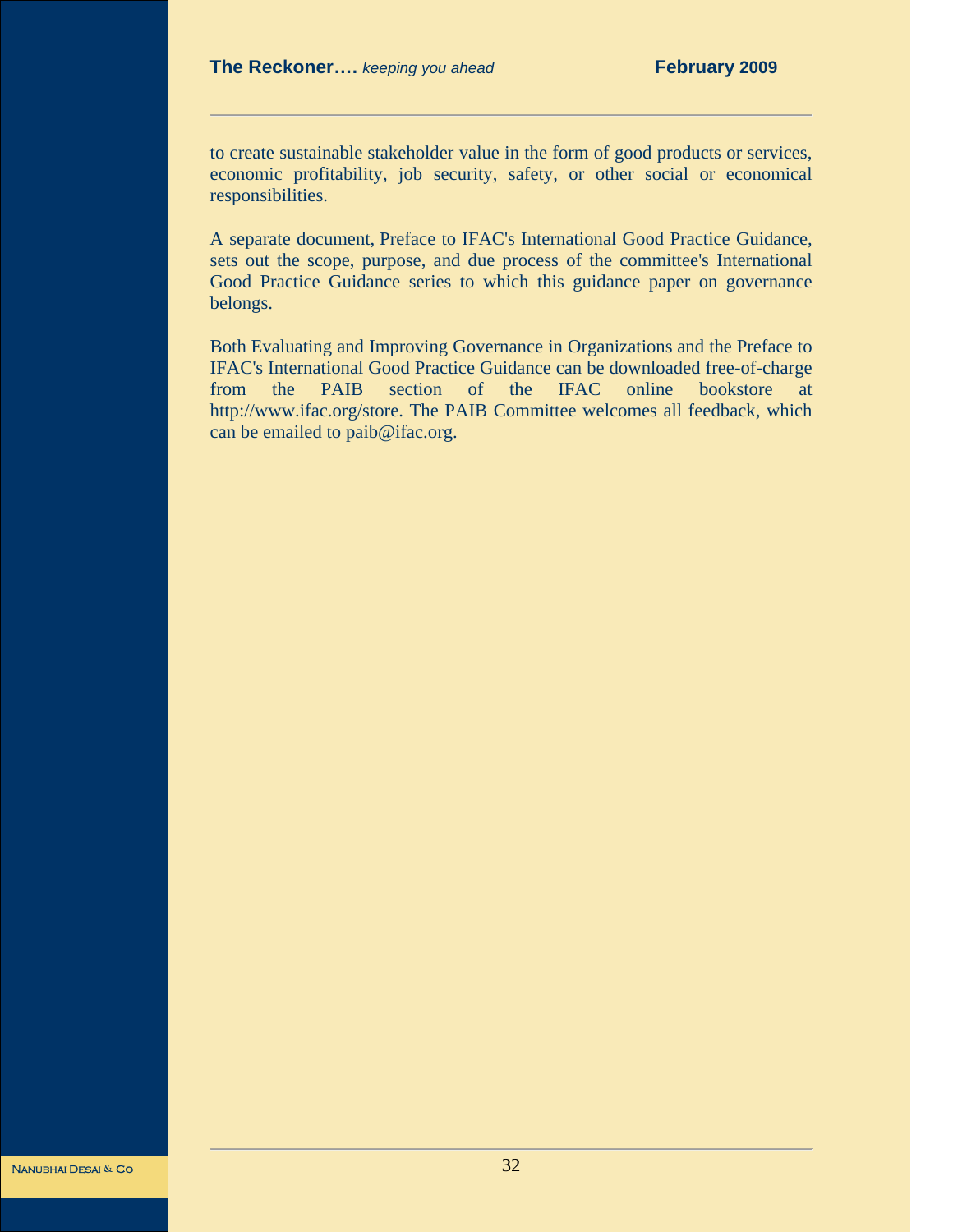to create sustainable stakeholder value in the form of good products or services, economic profitability, job security, safety, or other social or economical responsibilities.

A separate document, Preface to IFAC's International Good Practice Guidance, sets out the scope, purpose, and due process of the committee's International Good Practice Guidance series to which this guidance paper on governance belongs.

Both Evaluating and Improving Governance in Organizations and the Preface to IFAC's International Good Practice Guidance can be downloaded free-of-charge from the PAIB section of the IFAC online bookstore at http://www.ifac.org/store. The PAIB Committee welcomes all feedback, which can be emailed to paib@ifac.org.